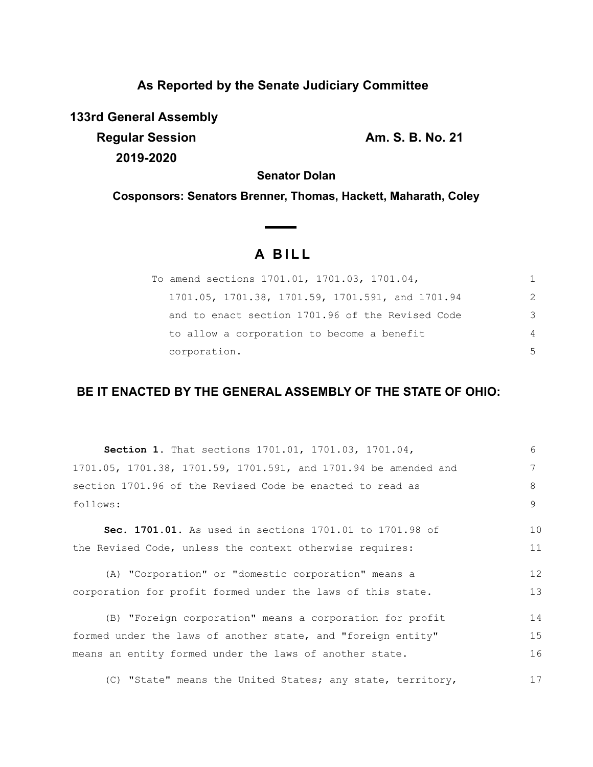## **As Reported by the Senate Judiciary Committee**

**133rd General Assembly**

**Regular Session Am. S. B. No. 21 2019-2020**

**Senator Dolan**

**Cosponsors: Senators Brenner, Thomas, Hackett, Maharath, Coley**

# **A B I L L**

**Contract Contract Contract** 

| To amend sections 1701.01, 1701.03, 1701.04,     |    |
|--------------------------------------------------|----|
| 1701.05, 1701.38, 1701.59, 1701.591, and 1701.94 | 2  |
| and to enact section 1701.96 of the Revised Code | 3  |
| to allow a corporation to become a benefit       | 4  |
| corporation.                                     | .5 |

## **BE IT ENACTED BY THE GENERAL ASSEMBLY OF THE STATE OF OHIO:**

| <b>Section 1.</b> That sections 1701.01, 1701.03, 1701.04,      | 6  |
|-----------------------------------------------------------------|----|
| 1701.05, 1701.38, 1701.59, 1701.591, and 1701.94 be amended and | 7  |
| section 1701.96 of the Revised Code be enacted to read as       | 8  |
| follows:                                                        | 9  |
| Sec. 1701.01. As used in sections 1701.01 to 1701.98 of         | 10 |
| the Revised Code, unless the context otherwise requires:        | 11 |
| (A) "Corporation" or "domestic corporation" means a             | 12 |
| corporation for profit formed under the laws of this state.     | 13 |
| (B) "Foreign corporation" means a corporation for profit        | 14 |
| formed under the laws of another state, and "foreign entity"    | 15 |
| means an entity formed under the laws of another state.         | 16 |
| (C) "State" means the United States; any state, territory,      | 17 |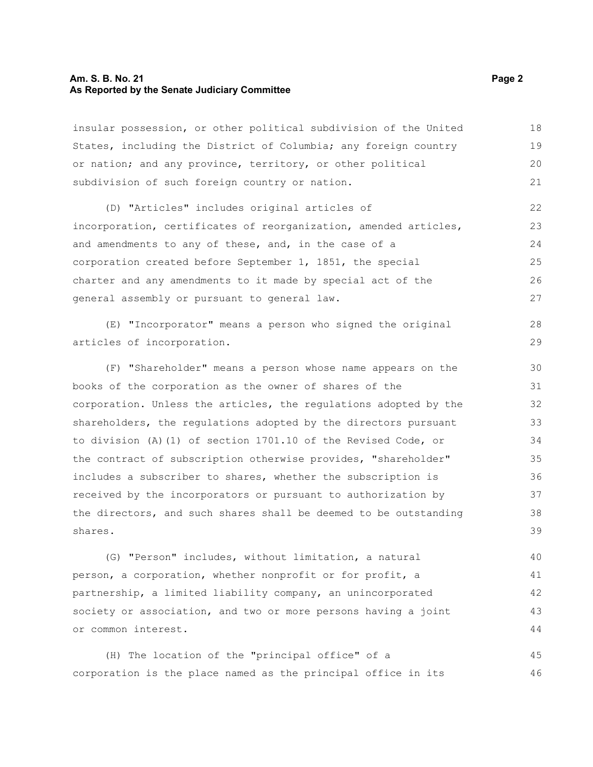#### **Am. S. B. No. 21 Page 2 As Reported by the Senate Judiciary Committee**

insular possession, or other political subdivision of the United States, including the District of Columbia; any foreign country or nation; and any province, territory, or other political subdivision of such foreign country or nation. 18 19 20 21

(D) "Articles" includes original articles of incorporation, certificates of reorganization, amended articles, and amendments to any of these, and, in the case of a corporation created before September 1, 1851, the special charter and any amendments to it made by special act of the general assembly or pursuant to general law. 22 23  $24$ 25 26 27

(E) "Incorporator" means a person who signed the original articles of incorporation. 28 29

(F) "Shareholder" means a person whose name appears on the books of the corporation as the owner of shares of the corporation. Unless the articles, the regulations adopted by the shareholders, the regulations adopted by the directors pursuant to division (A)(1) of section 1701.10 of the Revised Code, or the contract of subscription otherwise provides, "shareholder" includes a subscriber to shares, whether the subscription is received by the incorporators or pursuant to authorization by the directors, and such shares shall be deemed to be outstanding shares. 30 31 32 33 34 35 36 37 38 39

(G) "Person" includes, without limitation, a natural person, a corporation, whether nonprofit or for profit, a partnership, a limited liability company, an unincorporated society or association, and two or more persons having a joint or common interest. 40 41 42 43 44

(H) The location of the "principal office" of a corporation is the place named as the principal office in its 45 46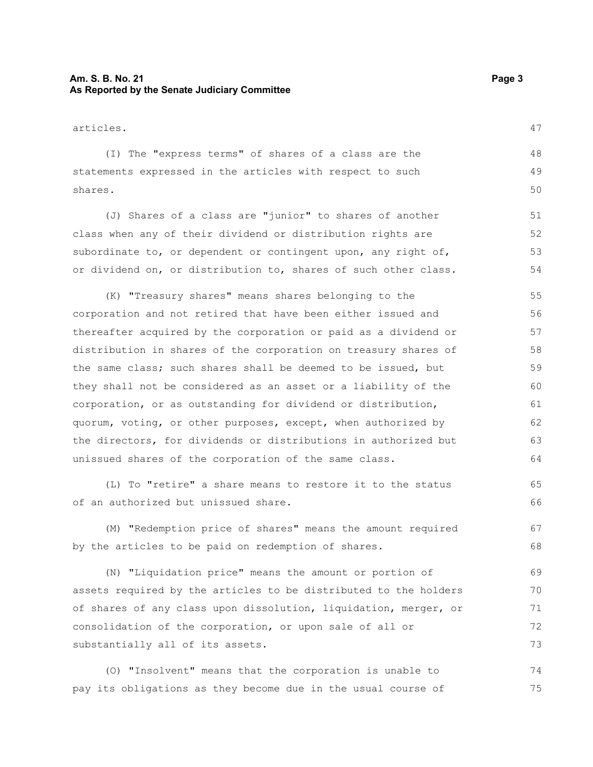#### **Am. S. B. No. 21 Page 3 As Reported by the Senate Judiciary Committee**

| articles.                                                        |    |
|------------------------------------------------------------------|----|
| (I) The "express terms" of shares of a class are the             | 48 |
| statements expressed in the articles with respect to such        | 49 |
| shares.                                                          | 50 |
| (J) Shares of a class are "junior" to shares of another          | 51 |
| class when any of their dividend or distribution rights are      | 52 |
| subordinate to, or dependent or contingent upon, any right of,   | 53 |
| or dividend on, or distribution to, shares of such other class.  | 54 |
| (K) "Treasury shares" means shares belonging to the              | 55 |
| corporation and not retired that have been either issued and     | 56 |
| thereafter acquired by the corporation or paid as a dividend or  | 57 |
| distribution in shares of the corporation on treasury shares of  | 58 |
| the same class; such shares shall be deemed to be issued, but    | 59 |
| they shall not be considered as an asset or a liability of the   | 60 |
| corporation, or as outstanding for dividend or distribution,     | 61 |
| quorum, voting, or other purposes, except, when authorized by    | 62 |
| the directors, for dividends or distributions in authorized but  | 63 |
| unissued shares of the corporation of the same class.            | 64 |
| (L) To "retire" a share means to restore it to the status        | 65 |
| of an authorized but unissued share.                             | 66 |
| (M) "Redemption price of shares" means the amount required       | 67 |
| by the articles to be paid on redemption of shares.              | 68 |
| (N) "Liquidation price" means the amount or portion of           | 69 |
| assets required by the articles to be distributed to the holders | 70 |

substantially all of its assets.

(O) "Insolvent" means that the corporation is unable to pay its obligations as they become due in the usual course of 74 75

of shares of any class upon dissolution, liquidation, merger, or

consolidation of the corporation, or upon sale of all or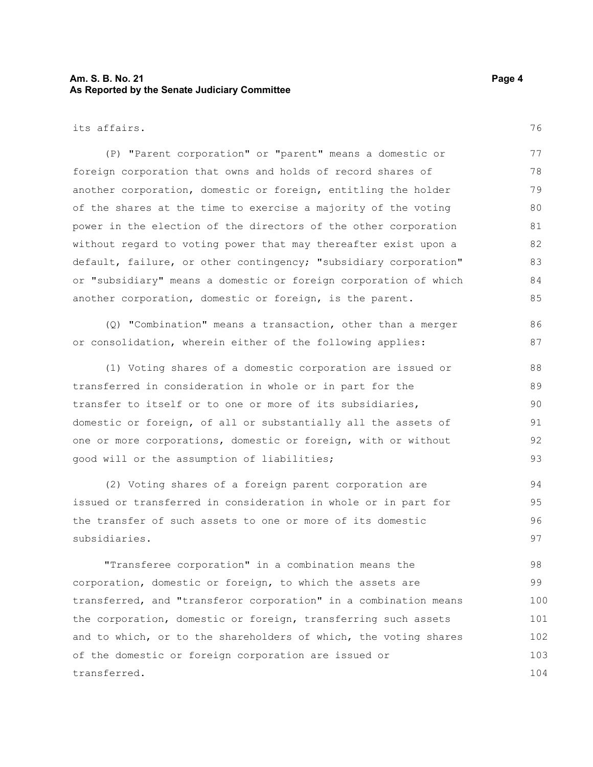#### **Am. S. B. No. 21 Page 4 As Reported by the Senate Judiciary Committee**

its affairs.

(P) "Parent corporation" or "parent" means a domestic or foreign corporation that owns and holds of record shares of another corporation, domestic or foreign, entitling the holder of the shares at the time to exercise a majority of the voting power in the election of the directors of the other corporation without regard to voting power that may thereafter exist upon a default, failure, or other contingency; "subsidiary corporation" or "subsidiary" means a domestic or foreign corporation of which another corporation, domestic or foreign, is the parent. 77 78 79 80 81 82 83 84 85

(Q) "Combination" means a transaction, other than a merger or consolidation, wherein either of the following applies:

(1) Voting shares of a domestic corporation are issued or transferred in consideration in whole or in part for the transfer to itself or to one or more of its subsidiaries, domestic or foreign, of all or substantially all the assets of one or more corporations, domestic or foreign, with or without good will or the assumption of liabilities; 88 89 90 91 92 93

(2) Voting shares of a foreign parent corporation are issued or transferred in consideration in whole or in part for the transfer of such assets to one or more of its domestic subsidiaries. 94 95 96 97

"Transferee corporation" in a combination means the corporation, domestic or foreign, to which the assets are transferred, and "transferor corporation" in a combination means the corporation, domestic or foreign, transferring such assets and to which, or to the shareholders of which, the voting shares of the domestic or foreign corporation are issued or transferred. 98 99 100 101 102 103 104

76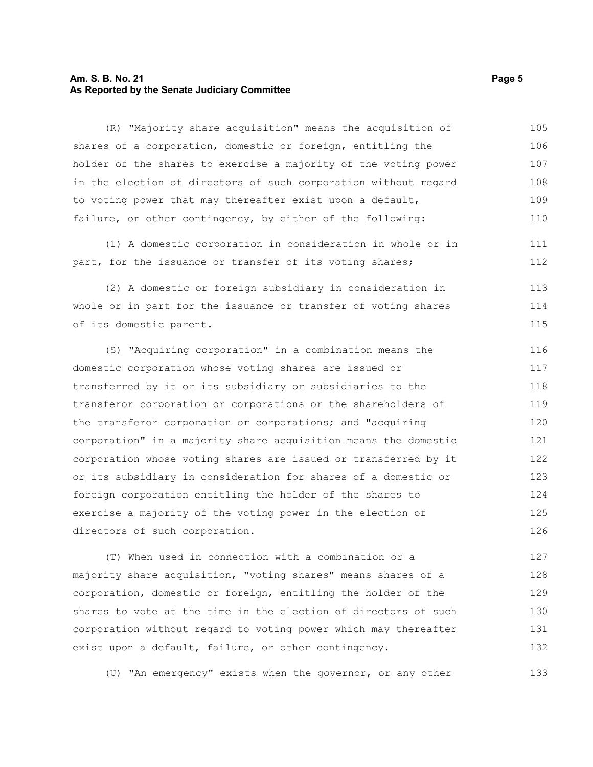#### **Am. S. B. No. 21 Page 5 As Reported by the Senate Judiciary Committee**

(R) "Majority share acquisition" means the acquisition of shares of a corporation, domestic or foreign, entitling the holder of the shares to exercise a majority of the voting power in the election of directors of such corporation without regard to voting power that may thereafter exist upon a default, failure, or other contingency, by either of the following: 105 106 107 108 109 110

(1) A domestic corporation in consideration in whole or in part, for the issuance or transfer of its voting shares;

(2) A domestic or foreign subsidiary in consideration in whole or in part for the issuance or transfer of voting shares of its domestic parent. 113 114 115

(S) "Acquiring corporation" in a combination means the domestic corporation whose voting shares are issued or transferred by it or its subsidiary or subsidiaries to the transferor corporation or corporations or the shareholders of the transferor corporation or corporations; and "acquiring corporation" in a majority share acquisition means the domestic corporation whose voting shares are issued or transferred by it or its subsidiary in consideration for shares of a domestic or foreign corporation entitling the holder of the shares to exercise a majority of the voting power in the election of directors of such corporation. 116 117 118 119 120 121 122 123 124 125 126

(T) When used in connection with a combination or a majority share acquisition, "voting shares" means shares of a corporation, domestic or foreign, entitling the holder of the shares to vote at the time in the election of directors of such corporation without regard to voting power which may thereafter exist upon a default, failure, or other contingency. 127 128 129 130 131 132

(U) "An emergency" exists when the governor, or any other

111 112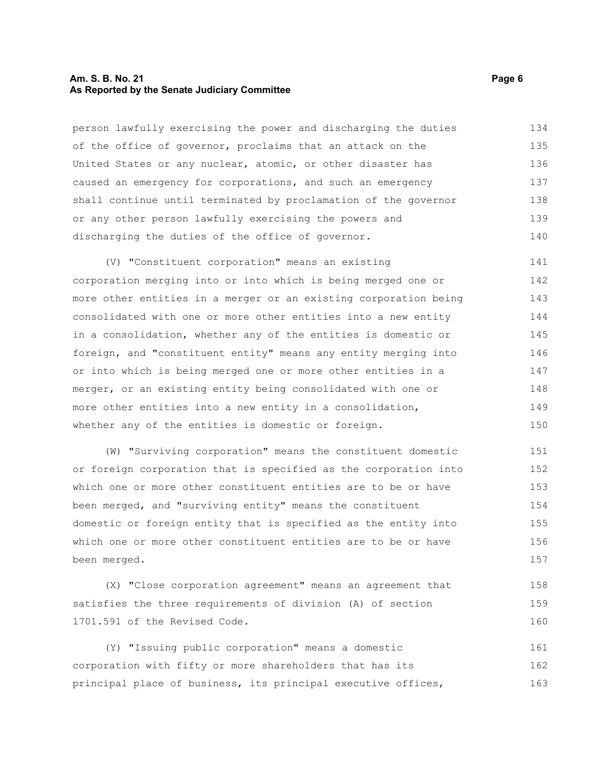#### **Am. S. B. No. 21 Page 6 As Reported by the Senate Judiciary Committee**

person lawfully exercising the power and discharging the duties of the office of governor, proclaims that an attack on the United States or any nuclear, atomic, or other disaster has caused an emergency for corporations, and such an emergency shall continue until terminated by proclamation of the governor or any other person lawfully exercising the powers and discharging the duties of the office of governor. 134 135 136 137 138 139 140

(V) "Constituent corporation" means an existing corporation merging into or into which is being merged one or more other entities in a merger or an existing corporation being consolidated with one or more other entities into a new entity in a consolidation, whether any of the entities is domestic or foreign, and "constituent entity" means any entity merging into or into which is being merged one or more other entities in a merger, or an existing entity being consolidated with one or more other entities into a new entity in a consolidation, whether any of the entities is domestic or foreign. 141 142 143 144 145 146 147 148 149 150

(W) "Surviving corporation" means the constituent domestic or foreign corporation that is specified as the corporation into which one or more other constituent entities are to be or have been merged, and "surviving entity" means the constituent domestic or foreign entity that is specified as the entity into which one or more other constituent entities are to be or have been merged. 151 152 153 154 155 156 157

(X) "Close corporation agreement" means an agreement that satisfies the three requirements of division (A) of section 1701.591 of the Revised Code. 158 159 160

(Y) "Issuing public corporation" means a domestic corporation with fifty or more shareholders that has its principal place of business, its principal executive offices, 161 162 163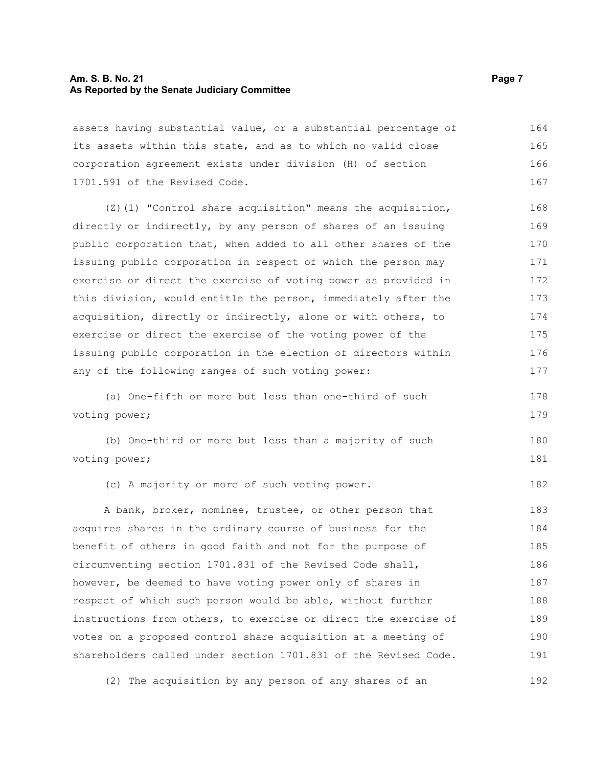#### **Am. S. B. No. 21 Page 7 As Reported by the Senate Judiciary Committee**

assets having substantial value, or a substantial percentage of its assets within this state, and as to which no valid close corporation agreement exists under division (H) of section 1701.591 of the Revised Code. 164 165 166 167

(Z)(1) "Control share acquisition" means the acquisition, directly or indirectly, by any person of shares of an issuing public corporation that, when added to all other shares of the issuing public corporation in respect of which the person may exercise or direct the exercise of voting power as provided in this division, would entitle the person, immediately after the acquisition, directly or indirectly, alone or with others, to exercise or direct the exercise of the voting power of the issuing public corporation in the election of directors within any of the following ranges of such voting power: 168 169 170 171 172 173 174 175 176 177

(a) One-fifth or more but less than one-third of such voting power;

(b) One-third or more but less than a majority of such voting power; 180 181

(c) A majority or more of such voting power.

A bank, broker, nominee, trustee, or other person that acquires shares in the ordinary course of business for the benefit of others in good faith and not for the purpose of circumventing section 1701.831 of the Revised Code shall, however, be deemed to have voting power only of shares in respect of which such person would be able, without further instructions from others, to exercise or direct the exercise of votes on a proposed control share acquisition at a meeting of shareholders called under section 1701.831 of the Revised Code. 183 184 185 186 187 188 189 190 191

(2) The acquisition by any person of any shares of an 192

178 179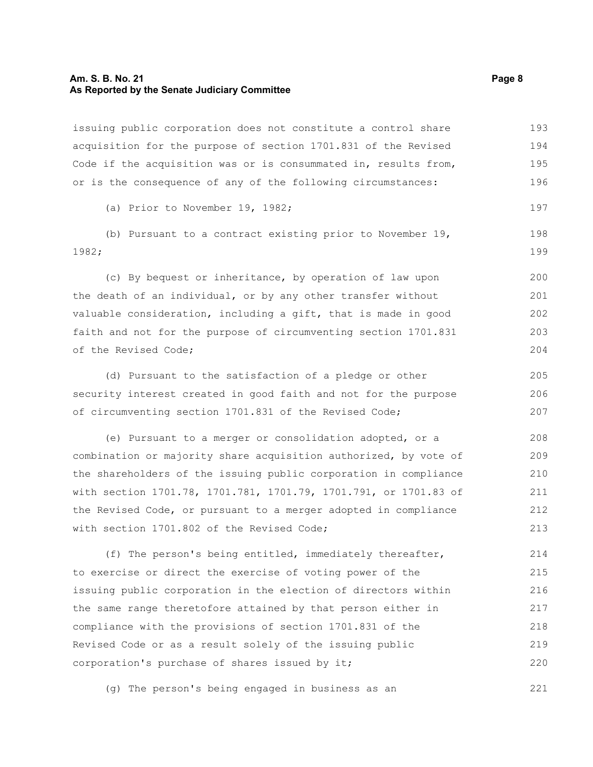#### **Am. S. B. No. 21 Page 8 As Reported by the Senate Judiciary Committee**

issuing public corporation does not constitute a control share acquisition for the purpose of section 1701.831 of the Revised Code if the acquisition was or is consummated in, results from, or is the consequence of any of the following circumstances: 193 194 195 196

(a) Prior to November 19, 1982;

(b) Pursuant to a contract existing prior to November 19, 1982;

(c) By bequest or inheritance, by operation of law upon the death of an individual, or by any other transfer without valuable consideration, including a gift, that is made in good faith and not for the purpose of circumventing section 1701.831 of the Revised Code;

(d) Pursuant to the satisfaction of a pledge or other security interest created in good faith and not for the purpose of circumventing section 1701.831 of the Revised Code; 205 206 207

(e) Pursuant to a merger or consolidation adopted, or a combination or majority share acquisition authorized, by vote of the shareholders of the issuing public corporation in compliance with section 1701.78, 1701.781, 1701.79, 1701.791, or 1701.83 of the Revised Code, or pursuant to a merger adopted in compliance with section 1701.802 of the Revised Code; 208 209 210 211 212 213

(f) The person's being entitled, immediately thereafter, to exercise or direct the exercise of voting power of the issuing public corporation in the election of directors within the same range theretofore attained by that person either in compliance with the provisions of section 1701.831 of the Revised Code or as a result solely of the issuing public corporation's purchase of shares issued by it; 214 215 216 217 218 219 220

(g) The person's being engaged in business as an 221

197

198 199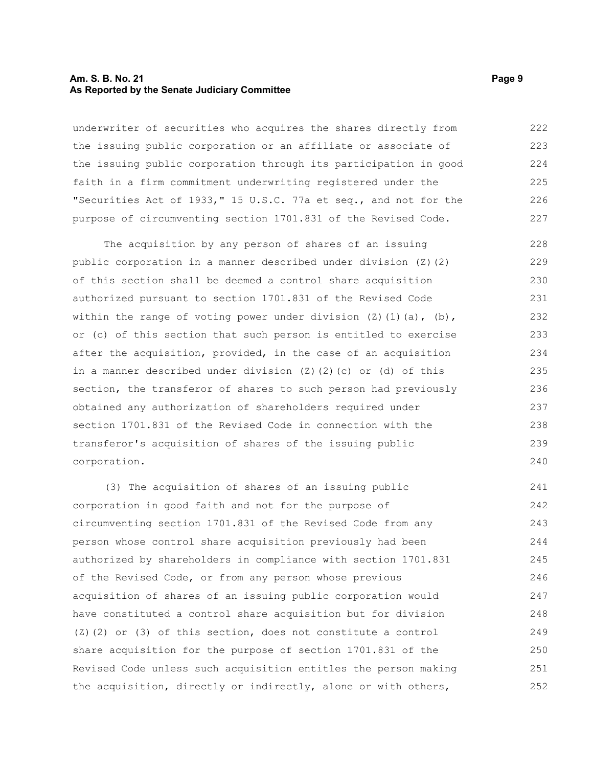#### **Am. S. B. No. 21 Page 9 As Reported by the Senate Judiciary Committee**

underwriter of securities who acquires the shares directly from the issuing public corporation or an affiliate or associate of the issuing public corporation through its participation in good faith in a firm commitment underwriting registered under the "Securities Act of 1933," 15 U.S.C. 77a et seq., and not for the purpose of circumventing section 1701.831 of the Revised Code. 222 223 224 225 226 227

The acquisition by any person of shares of an issuing public corporation in a manner described under division (Z)(2) of this section shall be deemed a control share acquisition authorized pursuant to section 1701.831 of the Revised Code within the range of voting power under division  $(2)(1)(a)$ ,  $(b)$ , or (c) of this section that such person is entitled to exercise after the acquisition, provided, in the case of an acquisition in a manner described under division  $(Z)$   $(Z)$   $(c)$  or  $(d)$  of this section, the transferor of shares to such person had previously obtained any authorization of shareholders required under section 1701.831 of the Revised Code in connection with the transferor's acquisition of shares of the issuing public corporation. 228 229 230 231 232 233 234 235 236 237 238 239 240

(3) The acquisition of shares of an issuing public corporation in good faith and not for the purpose of circumventing section 1701.831 of the Revised Code from any person whose control share acquisition previously had been authorized by shareholders in compliance with section 1701.831 of the Revised Code, or from any person whose previous acquisition of shares of an issuing public corporation would have constituted a control share acquisition but for division  $(2)$  (2) or (3) of this section, does not constitute a control share acquisition for the purpose of section 1701.831 of the Revised Code unless such acquisition entitles the person making the acquisition, directly or indirectly, alone or with others, 241 242 243 244 245 246 247 248 249 250 251 252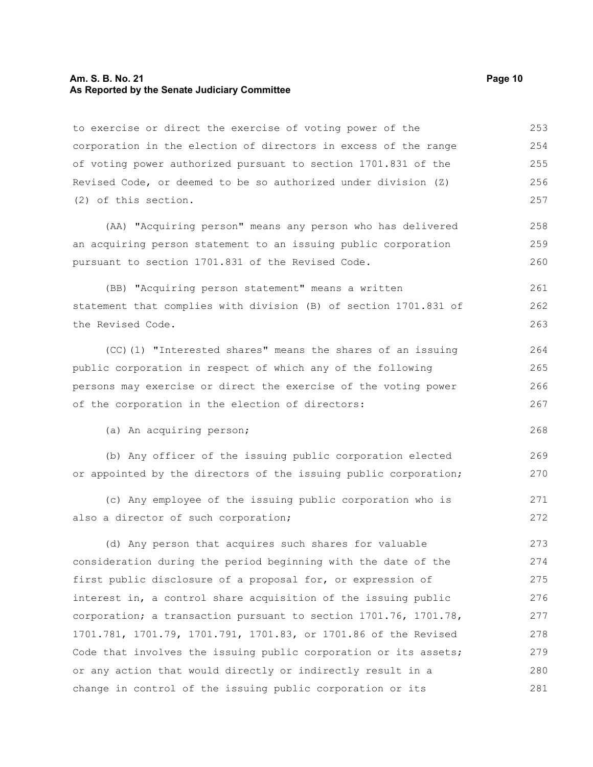#### **Am. S. B. No. 21 Page 10 As Reported by the Senate Judiciary Committee**

to exercise or direct the exercise of voting power of the corporation in the election of directors in excess of the range of voting power authorized pursuant to section 1701.831 of the Revised Code, or deemed to be so authorized under division (Z) (2) of this section. (AA) "Acquiring person" means any person who has delivered an acquiring person statement to an issuing public corporation pursuant to section 1701.831 of the Revised Code. (BB) "Acquiring person statement" means a written statement that complies with division (B) of section 1701.831 of the Revised Code. (CC)(1) "Interested shares" means the shares of an issuing public corporation in respect of which any of the following persons may exercise or direct the exercise of the voting power of the corporation in the election of directors: (a) An acquiring person; (b) Any officer of the issuing public corporation elected or appointed by the directors of the issuing public corporation; (c) Any employee of the issuing public corporation who is also a director of such corporation; (d) Any person that acquires such shares for valuable consideration during the period beginning with the date of the first public disclosure of a proposal for, or expression of interest in, a control share acquisition of the issuing public corporation; a transaction pursuant to section 1701.76, 1701.78, 1701.781, 1701.79, 1701.791, 1701.83, or 1701.86 of the Revised Code that involves the issuing public corporation or its assets; or any action that would directly or indirectly result in a change in control of the issuing public corporation or its 253 254 255 256 257 258 259 260 261 262 263 264 265 266 267 268 269 270 271 272 273 274 275 276 277 278 279 280 281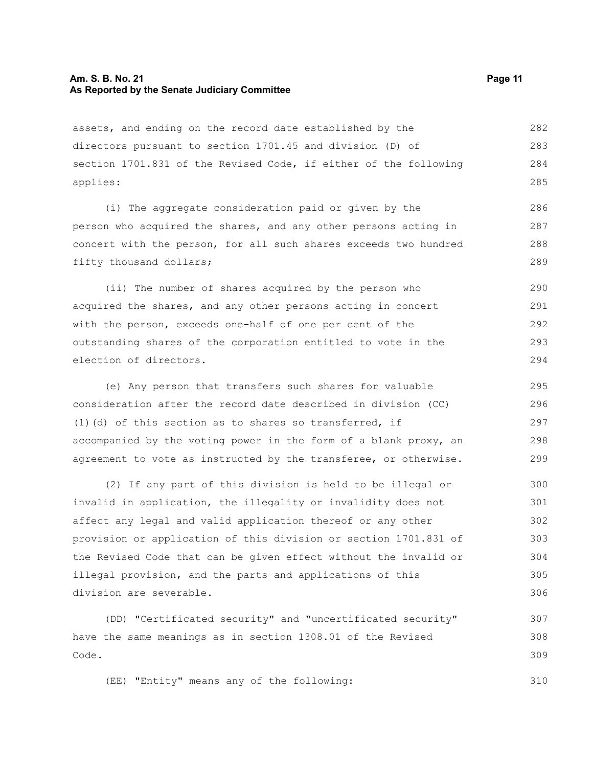assets, and ending on the record date established by the directors pursuant to section 1701.45 and division (D) of section 1701.831 of the Revised Code, if either of the following applies: 282 283 284 285

(i) The aggregate consideration paid or given by the person who acquired the shares, and any other persons acting in concert with the person, for all such shares exceeds two hundred fifty thousand dollars;

(ii) The number of shares acquired by the person who acquired the shares, and any other persons acting in concert with the person, exceeds one-half of one per cent of the outstanding shares of the corporation entitled to vote in the election of directors. 290 291 292 293 294

(e) Any person that transfers such shares for valuable consideration after the record date described in division (CC) (1)(d) of this section as to shares so transferred, if accompanied by the voting power in the form of a blank proxy, an agreement to vote as instructed by the transferee, or otherwise. 295 296 297 298 299

(2) If any part of this division is held to be illegal or invalid in application, the illegality or invalidity does not affect any legal and valid application thereof or any other provision or application of this division or section 1701.831 of the Revised Code that can be given effect without the invalid or illegal provision, and the parts and applications of this division are severable. 300 301 302 303 304 305 306

(DD) "Certificated security" and "uncertificated security" have the same meanings as in section 1308.01 of the Revised Code. 307 308 309

(EE) "Entity" means any of the following: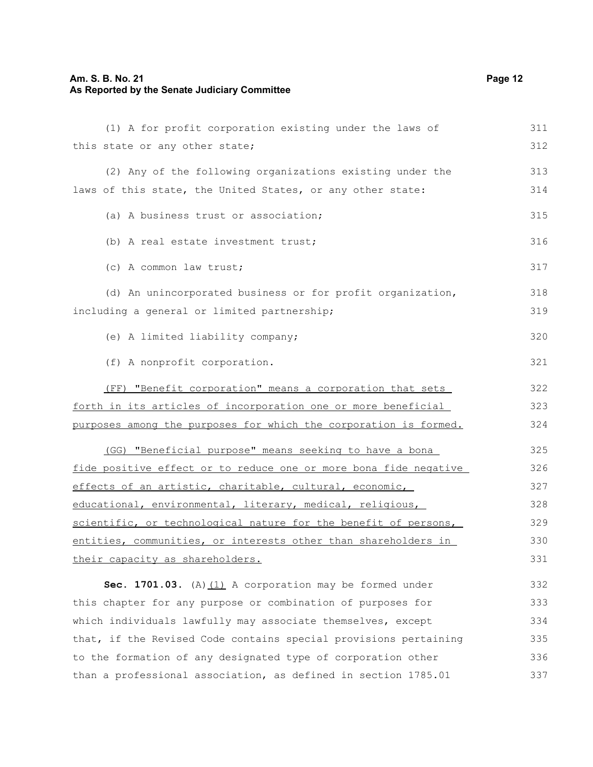## **Am. S. B. No. 21 Page 12 As Reported by the Senate Judiciary Committee**

| (1) A for profit corporation existing under the laws of          | 311 |
|------------------------------------------------------------------|-----|
| this state or any other state;                                   | 312 |
| (2) Any of the following organizations existing under the        | 313 |
| laws of this state, the United States, or any other state:       | 314 |
| (a) A business trust or association;                             | 315 |
| (b) A real estate investment trust;                              | 316 |
| (c) A common law trust;                                          | 317 |
| (d) An unincorporated business or for profit organization,       | 318 |
| including a general or limited partnership;                      | 319 |
| (e) A limited liability company;                                 | 320 |
| (f) A nonprofit corporation.                                     | 321 |
| (FF) "Benefit corporation" means a corporation that sets         | 322 |
| forth in its articles of incorporation one or more beneficial    |     |
| purposes among the purposes for which the corporation is formed. | 324 |
| (GG) "Beneficial purpose" means seeking to have a bona           | 325 |
| fide positive effect or to reduce one or more bona fide negative | 326 |
| effects of an artistic, charitable, cultural, economic,          |     |
| educational, environmental, literary, medical, religious,        | 328 |
| scientific, or technological nature for the benefit of persons,  | 329 |
| entities, communities, or interests other than shareholders in   | 330 |
| their capacity as shareholders.                                  | 331 |
| Sec. 1701.03. (A) $(1)$ A corporation may be formed under        | 332 |
| this chapter for any purpose or combination of purposes for      | 333 |
| which individuals lawfully may associate themselves, except      | 334 |
| that, if the Revised Code contains special provisions pertaining | 335 |
| to the formation of any designated type of corporation other     | 336 |
| than a professional association, as defined in section 1785.01   | 337 |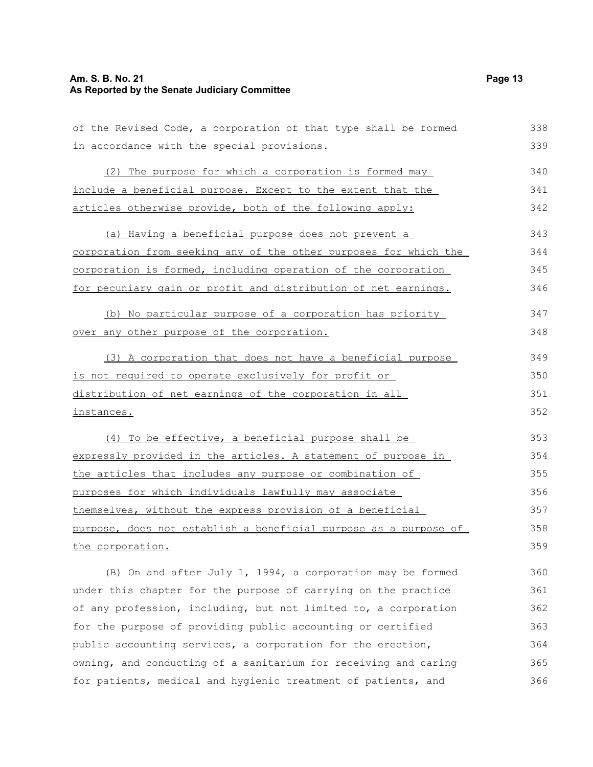## **Am. S. B. No. 21 Page 13 As Reported by the Senate Judiciary Committee**

| of the Revised Code, a corporation of that type shall be formed  | 338 |
|------------------------------------------------------------------|-----|
| in accordance with the special provisions.                       | 339 |
| (2) The purpose for which a corporation is formed may            | 340 |
| include a beneficial purpose. Except to the extent that the      | 341 |
| articles otherwise provide, both of the following apply:         | 342 |
| (a) Having a beneficial purpose does not prevent a               | 343 |
| corporation from seeking any of the other purposes for which the | 344 |
| corporation is formed, including operation of the corporation    | 345 |
| for pecuniary gain or profit and distribution of net earnings.   | 346 |
| (b) No particular purpose of a corporation has priority          | 347 |
| over any other purpose of the corporation.                       | 348 |
| (3) A corporation that does not have a beneficial purpose        | 349 |
| is not required to operate exclusively for profit or             |     |
| distribution of net earnings of the corporation in all           | 351 |
| instances.                                                       | 352 |
| (4) To be effective, a beneficial purpose shall be               | 353 |
| expressly provided in the articles. A statement of purpose in    | 354 |
| the articles that includes any purpose or combination of         | 355 |
| purposes for which individuals lawfully may associate            | 356 |
| themselves, without the express provision of a beneficial        | 357 |
| purpose, does not establish a beneficial purpose as a purpose of | 358 |
| the corporation.                                                 | 359 |
| (B) On and after July 1, 1994, a corporation may be formed       | 360 |
| under this chapter for the purpose of carrying on the practice   | 361 |
| of any profession, including, but not limited to, a corporation  | 362 |
| for the purpose of providing public accounting or certified      | 363 |

public accounting services, a corporation for the erection, owning, and conducting of a sanitarium for receiving and caring for patients, medical and hygienic treatment of patients, and 364 365 366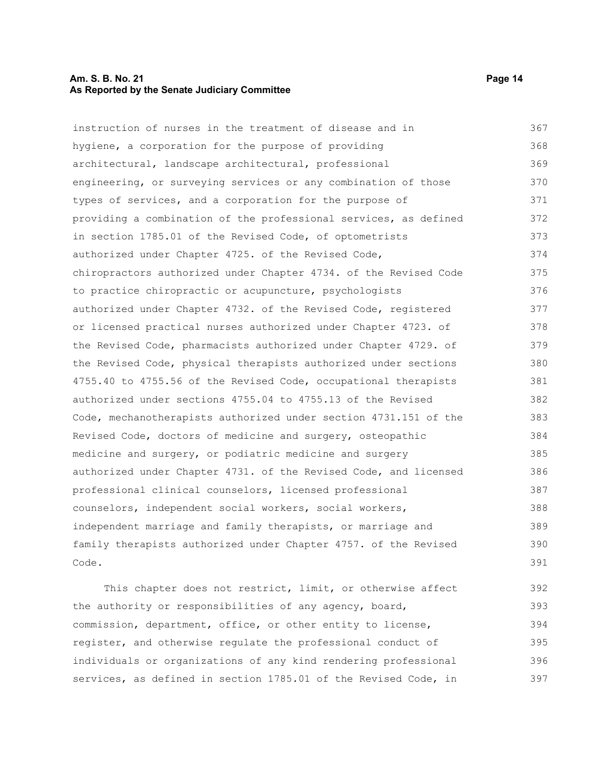#### **Am. S. B. No. 21 Page 14 As Reported by the Senate Judiciary Committee**

instruction of nurses in the treatment of disease and in hygiene, a corporation for the purpose of providing architectural, landscape architectural, professional engineering, or surveying services or any combination of those types of services, and a corporation for the purpose of providing a combination of the professional services, as defined in section 1785.01 of the Revised Code, of optometrists authorized under Chapter 4725. of the Revised Code, chiropractors authorized under Chapter 4734. of the Revised Code to practice chiropractic or acupuncture, psychologists authorized under Chapter 4732. of the Revised Code, registered or licensed practical nurses authorized under Chapter 4723. of the Revised Code, pharmacists authorized under Chapter 4729. of the Revised Code, physical therapists authorized under sections 4755.40 to 4755.56 of the Revised Code, occupational therapists authorized under sections 4755.04 to 4755.13 of the Revised Code, mechanotherapists authorized under section 4731.151 of the Revised Code, doctors of medicine and surgery, osteopathic medicine and surgery, or podiatric medicine and surgery authorized under Chapter 4731. of the Revised Code, and licensed professional clinical counselors, licensed professional counselors, independent social workers, social workers, independent marriage and family therapists, or marriage and family therapists authorized under Chapter 4757. of the Revised Code. This chapter does not restrict, limit, or otherwise affect 367 368 369 370 371 372 373 374 375 376 377 378 379 380 381 382 383 384 385 386 387 388 389 390 391 392

the authority or responsibilities of any agency, board, commission, department, office, or other entity to license, register, and otherwise regulate the professional conduct of individuals or organizations of any kind rendering professional services, as defined in section 1785.01 of the Revised Code, in 393 394 395 396 397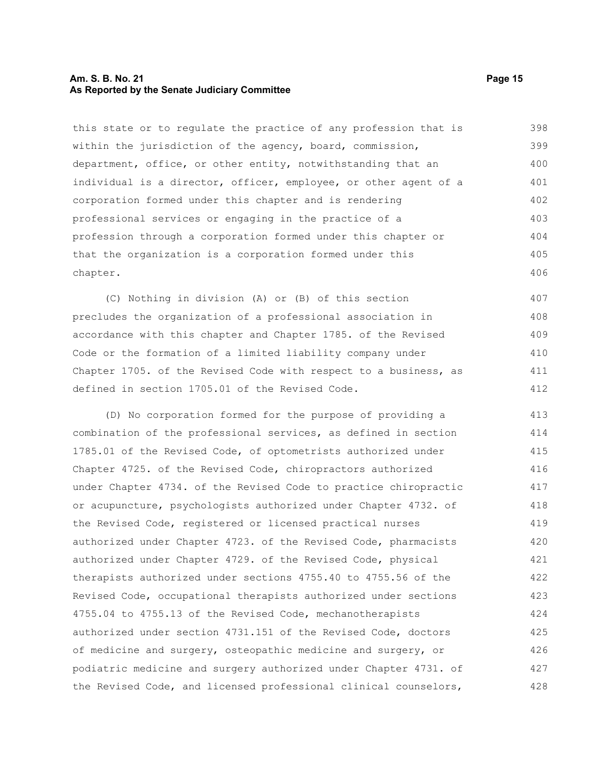#### **Am. S. B. No. 21 Page 15 As Reported by the Senate Judiciary Committee**

this state or to regulate the practice of any profession that is within the jurisdiction of the agency, board, commission, department, office, or other entity, notwithstanding that an individual is a director, officer, employee, or other agent of a corporation formed under this chapter and is rendering professional services or engaging in the practice of a profession through a corporation formed under this chapter or that the organization is a corporation formed under this chapter. 398 399 400 401 402 403 404 405 406

(C) Nothing in division (A) or (B) of this section precludes the organization of a professional association in accordance with this chapter and Chapter 1785. of the Revised Code or the formation of a limited liability company under Chapter 1705. of the Revised Code with respect to a business, as defined in section 1705.01 of the Revised Code. 407 408 409 410 411 412

(D) No corporation formed for the purpose of providing a combination of the professional services, as defined in section 1785.01 of the Revised Code, of optometrists authorized under Chapter 4725. of the Revised Code, chiropractors authorized under Chapter 4734. of the Revised Code to practice chiropractic or acupuncture, psychologists authorized under Chapter 4732. of the Revised Code, registered or licensed practical nurses authorized under Chapter 4723. of the Revised Code, pharmacists authorized under Chapter 4729. of the Revised Code, physical therapists authorized under sections 4755.40 to 4755.56 of the Revised Code, occupational therapists authorized under sections 4755.04 to 4755.13 of the Revised Code, mechanotherapists authorized under section 4731.151 of the Revised Code, doctors of medicine and surgery, osteopathic medicine and surgery, or podiatric medicine and surgery authorized under Chapter 4731. of the Revised Code, and licensed professional clinical counselors, 413 414 415 416 417 418 419 420 421 422 423 424 425 426 427 428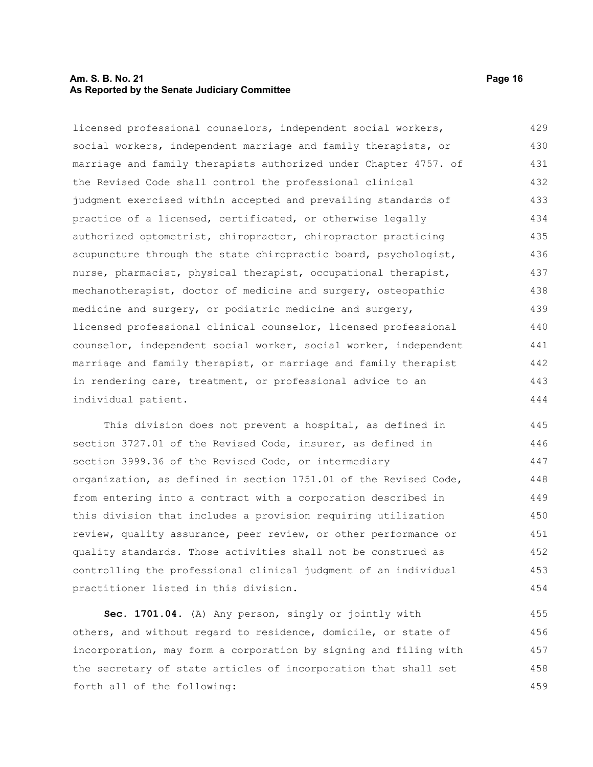#### **Am. S. B. No. 21 Page 16 As Reported by the Senate Judiciary Committee**

licensed professional counselors, independent social workers, social workers, independent marriage and family therapists, or marriage and family therapists authorized under Chapter 4757. of the Revised Code shall control the professional clinical judgment exercised within accepted and prevailing standards of practice of a licensed, certificated, or otherwise legally authorized optometrist, chiropractor, chiropractor practicing acupuncture through the state chiropractic board, psychologist, nurse, pharmacist, physical therapist, occupational therapist, mechanotherapist, doctor of medicine and surgery, osteopathic medicine and surgery, or podiatric medicine and surgery, licensed professional clinical counselor, licensed professional counselor, independent social worker, social worker, independent marriage and family therapist, or marriage and family therapist in rendering care, treatment, or professional advice to an individual patient. 429 430 431 432 433 434 435 436 437 438 439 440 441 442 443 444

This division does not prevent a hospital, as defined in section 3727.01 of the Revised Code, insurer, as defined in section 3999.36 of the Revised Code, or intermediary organization, as defined in section 1751.01 of the Revised Code, from entering into a contract with a corporation described in this division that includes a provision requiring utilization review, quality assurance, peer review, or other performance or quality standards. Those activities shall not be construed as controlling the professional clinical judgment of an individual practitioner listed in this division. 445 446 447 448 449 450 451 452 453 454

**Sec. 1701.04.** (A) Any person, singly or jointly with others, and without regard to residence, domicile, or state of incorporation, may form a corporation by signing and filing with the secretary of state articles of incorporation that shall set forth all of the following: 455 456 457 458 459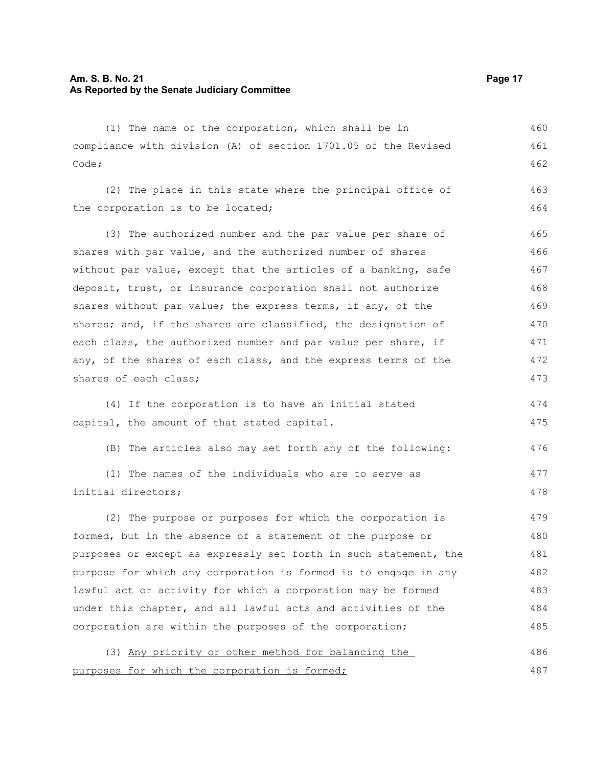#### **Am. S. B. No. 21 Page 17 As Reported by the Senate Judiciary Committee**

(1) The name of the corporation, which shall be in compliance with division (A) of section 1701.05 of the Revised Code; (2) The place in this state where the principal office of the corporation is to be located; (3) The authorized number and the par value per share of shares with par value, and the authorized number of shares without par value, except that the articles of a banking, safe deposit, trust, or insurance corporation shall not authorize shares without par value; the express terms, if any, of the shares; and, if the shares are classified, the designation of each class, the authorized number and par value per share, if any, of the shares of each class, and the express terms of the shares of each class; (4) If the corporation is to have an initial stated capital, the amount of that stated capital. (B) The articles also may set forth any of the following: (1) The names of the individuals who are to serve as initial directors; (2) The purpose or purposes for which the corporation is formed, but in the absence of a statement of the purpose or 460 461 462 463 464 465 466 467 468 469 470 471 472 473 474 475 476 477 478 479 480

purposes or except as expressly set forth in such statement, the purpose for which any corporation is formed is to engage in any lawful act or activity for which a corporation may be formed under this chapter, and all lawful acts and activities of the corporation are within the purposes of the corporation; 481 482 483 484 485

(3) Any priority or other method for balancing the purposes for which the corporation is formed; 486 487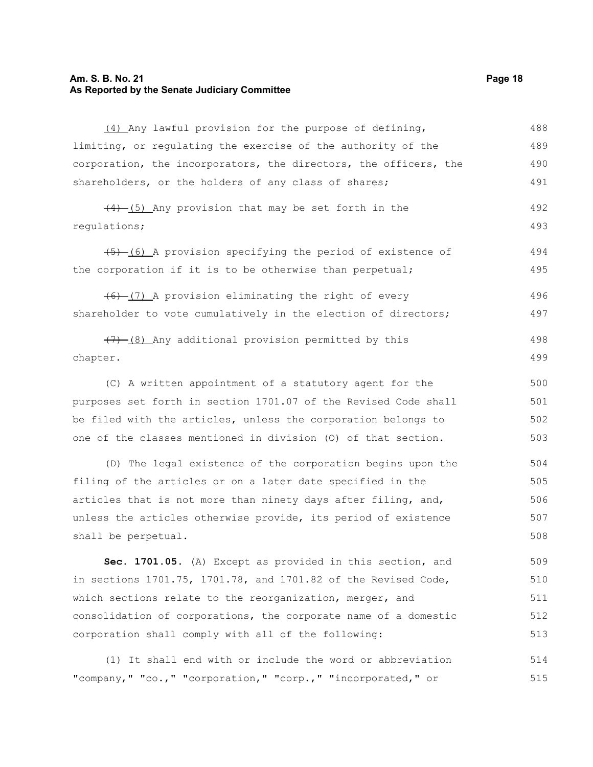#### **Am. S. B. No. 21 Page 18 As Reported by the Senate Judiciary Committee**

(4) Any lawful provision for the purpose of defining, limiting, or regulating the exercise of the authority of the corporation, the incorporators, the directors, the officers, the shareholders, or the holders of any class of shares;  $(4)$  (5) Any provision that may be set forth in the regulations; (5) (6) A provision specifying the period of existence of the corporation if it is to be otherwise than perpetual;  $(6)$   $(7)$  A provision eliminating the right of every shareholder to vote cumulatively in the election of directors;  $(7)$   $(8)$  Any additional provision permitted by this chapter. (C) A written appointment of a statutory agent for the purposes set forth in section 1701.07 of the Revised Code shall be filed with the articles, unless the corporation belongs to one of the classes mentioned in division (O) of that section. (D) The legal existence of the corporation begins upon the filing of the articles or on a later date specified in the articles that is not more than ninety days after filing, and, unless the articles otherwise provide, its period of existence shall be perpetual. **Sec. 1701.05.** (A) Except as provided in this section, and in sections 1701.75, 1701.78, and 1701.82 of the Revised Code, which sections relate to the reorganization, merger, and 488 489 490 491 492 493 494 495 496 497 498 499 500 501 502 503 504 505 506 507 508 509 510 511

(1) It shall end with or include the word or abbreviation "company," "co.," "corporation," "corp.," "incorporated," or 514 515

consolidation of corporations, the corporate name of a domestic

corporation shall comply with all of the following: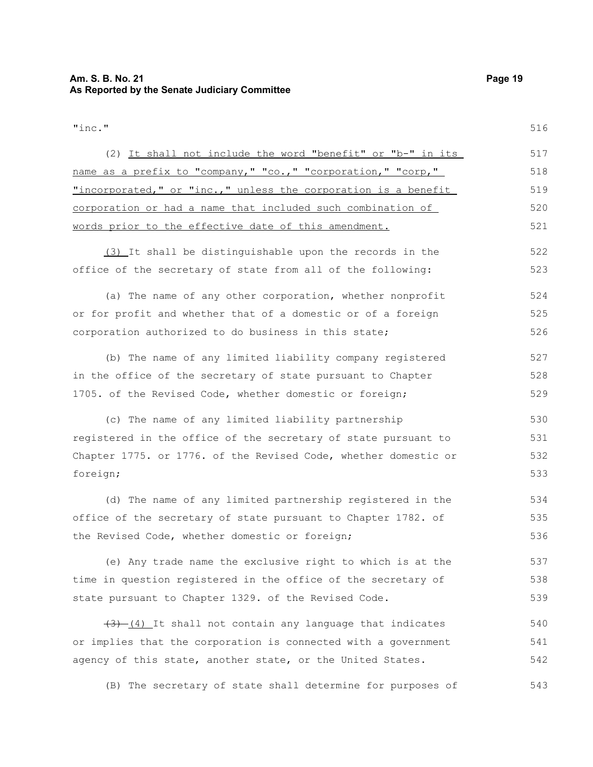"inc." (2) It shall not include the word "benefit" or "b-" in its name as a prefix to "company," "co.," "corporation," "corp," "incorporated," or "inc.," unless the corporation is a benefit corporation or had a name that included such combination of words prior to the effective date of this amendment. (3) It shall be distinguishable upon the records in the office of the secretary of state from all of the following: (a) The name of any other corporation, whether nonprofit or for profit and whether that of a domestic or of a foreign corporation authorized to do business in this state; (b) The name of any limited liability company registered in the office of the secretary of state pursuant to Chapter 1705. of the Revised Code, whether domestic or foreign; (c) The name of any limited liability partnership registered in the office of the secretary of state pursuant to Chapter 1775. or 1776. of the Revised Code, whether domestic or foreign; (d) The name of any limited partnership registered in the office of the secretary of state pursuant to Chapter 1782. of the Revised Code, whether domestic or foreign; (e) Any trade name the exclusive right to which is at the time in question registered in the office of the secretary of state pursuant to Chapter 1329. of the Revised Code.  $(3)$   $(4)$  It shall not contain any language that indicates or implies that the corporation is connected with a government agency of this state, another state, or the United States. (B) The secretary of state shall determine for purposes of 516 517 518 519 520 521 522 523 524 525 526 527 528 529 530 531 532 533 534 535 536 537 538 539 540 541 542 543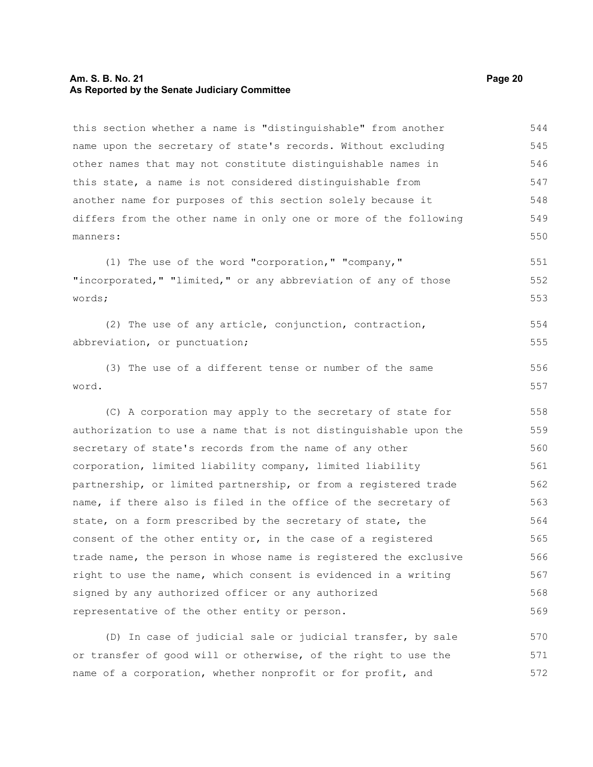#### **Am. S. B. No. 21 Page 20 As Reported by the Senate Judiciary Committee**

this section whether a name is "distinguishable" from another name upon the secretary of state's records. Without excluding other names that may not constitute distinguishable names in this state, a name is not considered distinguishable from another name for purposes of this section solely because it differs from the other name in only one or more of the following manners: 544 545 546 547 548 549 550

(1) The use of the word "corporation," "company," "incorporated," "limited," or any abbreviation of any of those words; 551 552 553

(2) The use of any article, conjunction, contraction, abbreviation, or punctuation; 554 555

(3) The use of a different tense or number of the same word. 556 557

(C) A corporation may apply to the secretary of state for authorization to use a name that is not distinguishable upon the secretary of state's records from the name of any other corporation, limited liability company, limited liability partnership, or limited partnership, or from a registered trade name, if there also is filed in the office of the secretary of state, on a form prescribed by the secretary of state, the consent of the other entity or, in the case of a registered trade name, the person in whose name is registered the exclusive right to use the name, which consent is evidenced in a writing signed by any authorized officer or any authorized representative of the other entity or person. 558 559 560 561 562 563 564 565 566 567 568 569

(D) In case of judicial sale or judicial transfer, by sale or transfer of good will or otherwise, of the right to use the name of a corporation, whether nonprofit or for profit, and 570 571 572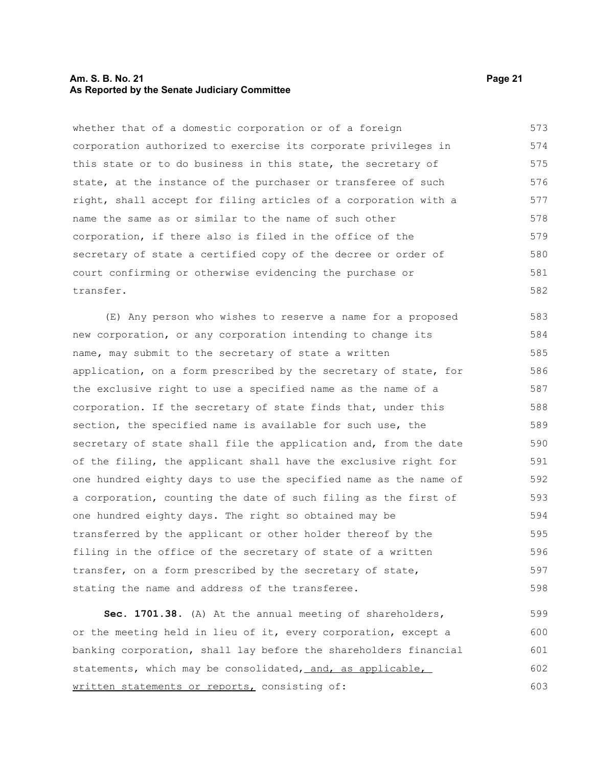#### **Am. S. B. No. 21 Page 21 As Reported by the Senate Judiciary Committee**

whether that of a domestic corporation or of a foreign corporation authorized to exercise its corporate privileges in this state or to do business in this state, the secretary of state, at the instance of the purchaser or transferee of such right, shall accept for filing articles of a corporation with a name the same as or similar to the name of such other corporation, if there also is filed in the office of the secretary of state a certified copy of the decree or order of court confirming or otherwise evidencing the purchase or transfer. 573 574 575 576 577 578 579 580 581 582

(E) Any person who wishes to reserve a name for a proposed new corporation, or any corporation intending to change its name, may submit to the secretary of state a written application, on a form prescribed by the secretary of state, for the exclusive right to use a specified name as the name of a corporation. If the secretary of state finds that, under this section, the specified name is available for such use, the secretary of state shall file the application and, from the date of the filing, the applicant shall have the exclusive right for one hundred eighty days to use the specified name as the name of a corporation, counting the date of such filing as the first of one hundred eighty days. The right so obtained may be transferred by the applicant or other holder thereof by the filing in the office of the secretary of state of a written transfer, on a form prescribed by the secretary of state, stating the name and address of the transferee. 583 584 585 586 587 588 589 590 591 592 593 594 595 596 597 598

**Sec. 1701.38.** (A) At the annual meeting of shareholders, or the meeting held in lieu of it, every corporation, except a banking corporation, shall lay before the shareholders financial statements, which may be consolidated, and, as applicable, written statements or reports, consisting of: 599 600 601 602 603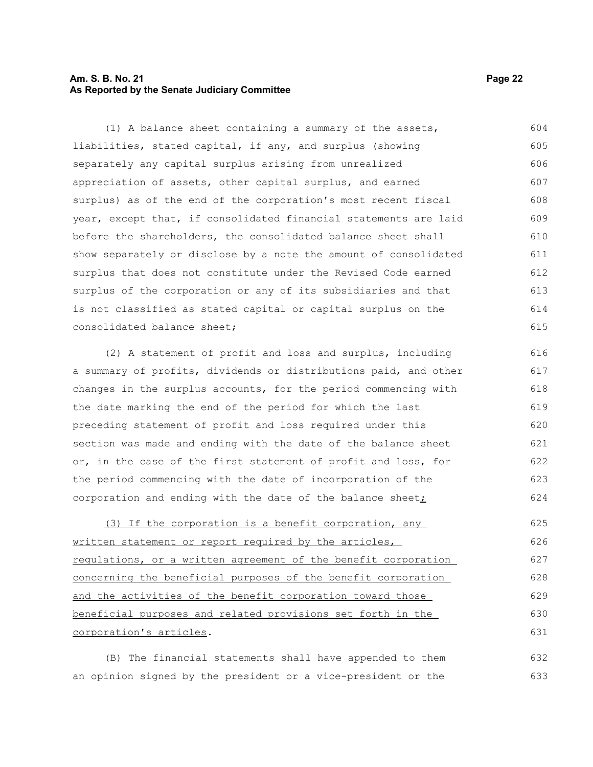#### **Am. S. B. No. 21 Page 22 As Reported by the Senate Judiciary Committee**

(1) A balance sheet containing a summary of the assets, liabilities, stated capital, if any, and surplus (showing separately any capital surplus arising from unrealized appreciation of assets, other capital surplus, and earned surplus) as of the end of the corporation's most recent fiscal year, except that, if consolidated financial statements are laid before the shareholders, the consolidated balance sheet shall show separately or disclose by a note the amount of consolidated surplus that does not constitute under the Revised Code earned surplus of the corporation or any of its subsidiaries and that is not classified as stated capital or capital surplus on the consolidated balance sheet; 604 605 606 607 608 609 610 611 612 613 614 615

(2) A statement of profit and loss and surplus, including a summary of profits, dividends or distributions paid, and other changes in the surplus accounts, for the period commencing with the date marking the end of the period for which the last preceding statement of profit and loss required under this section was made and ending with the date of the balance sheet or, in the case of the first statement of profit and loss, for the period commencing with the date of incorporation of the corporation and ending with the date of the balance sheet; 616 617 618 619 620 621 622 623 624

(3) If the corporation is a benefit corporation, any written statement or report required by the articles, regulations, or a written agreement of the benefit corporation concerning the beneficial purposes of the benefit corporation and the activities of the benefit corporation toward those beneficial purposes and related provisions set forth in the corporation's articles. 625 626 627 628 629 630 631

(B) The financial statements shall have appended to them an opinion signed by the president or a vice-president or the 632 633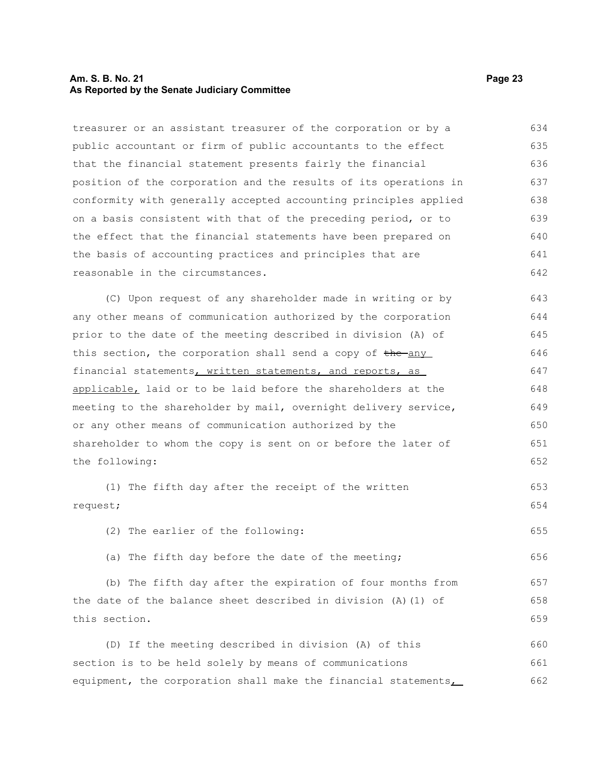#### **Am. S. B. No. 21 Page 23 As Reported by the Senate Judiciary Committee**

treasurer or an assistant treasurer of the corporation or by a public accountant or firm of public accountants to the effect that the financial statement presents fairly the financial position of the corporation and the results of its operations in conformity with generally accepted accounting principles applied on a basis consistent with that of the preceding period, or to the effect that the financial statements have been prepared on the basis of accounting practices and principles that are reasonable in the circumstances. (C) Upon request of any shareholder made in writing or by any other means of communication authorized by the corporation prior to the date of the meeting described in division (A) of this section, the corporation shall send a copy of the any financial statements, written statements, and reports, as applicable, laid or to be laid before the shareholders at the meeting to the shareholder by mail, overnight delivery service, or any other means of communication authorized by the shareholder to whom the copy is sent on or before the later of the following: (1) The fifth day after the receipt of the written request; (2) The earlier of the following: (a) The fifth day before the date of the meeting; (b) The fifth day after the expiration of four months from the date of the balance sheet described in division (A)(1) of this section. (D) If the meeting described in division (A) of this section is to be held solely by means of communications equipment, the corporation shall make the financial statements, 634 635 636 637 638 639 640 641 642 643 644 645 646 647 648 649 650 651 652 653 654 655 656 657 658 659 660 661 662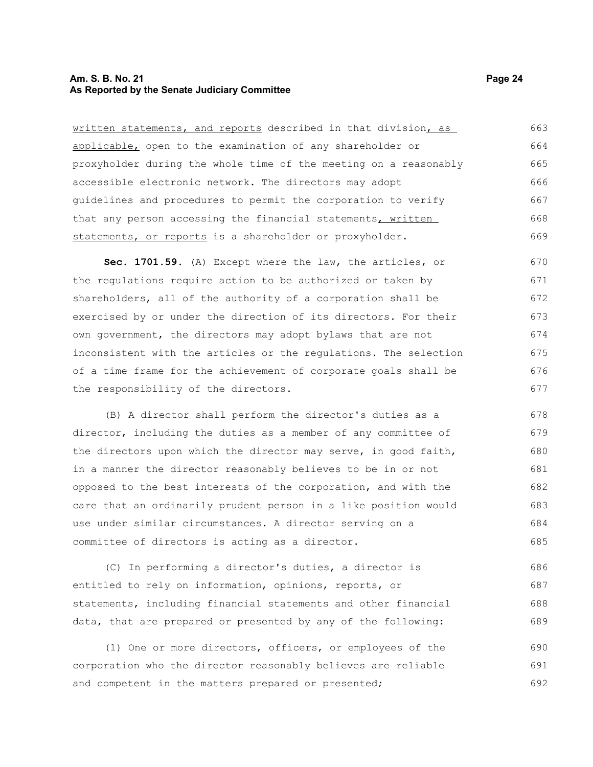#### **Am. S. B. No. 21 Page 24 As Reported by the Senate Judiciary Committee**

written statements, and reports described in that division, as applicable, open to the examination of any shareholder or proxyholder during the whole time of the meeting on a reasonably accessible electronic network. The directors may adopt guidelines and procedures to permit the corporation to verify that any person accessing the financial statements, written statements, or reports is a shareholder or proxyholder. 663 664 665 666 667 668 669

**Sec. 1701.59.** (A) Except where the law, the articles, or the regulations require action to be authorized or taken by shareholders, all of the authority of a corporation shall be exercised by or under the direction of its directors. For their own government, the directors may adopt bylaws that are not inconsistent with the articles or the regulations. The selection of a time frame for the achievement of corporate goals shall be the responsibility of the directors. 670 671 672 673 674 675 676 677

(B) A director shall perform the director's duties as a director, including the duties as a member of any committee of the directors upon which the director may serve, in good faith, in a manner the director reasonably believes to be in or not opposed to the best interests of the corporation, and with the care that an ordinarily prudent person in a like position would use under similar circumstances. A director serving on a committee of directors is acting as a director. 678 679 680 681 682 683 684 685

(C) In performing a director's duties, a director is entitled to rely on information, opinions, reports, or statements, including financial statements and other financial data, that are prepared or presented by any of the following: 686 687 688 689

(1) One or more directors, officers, or employees of the corporation who the director reasonably believes are reliable and competent in the matters prepared or presented; 690 691 692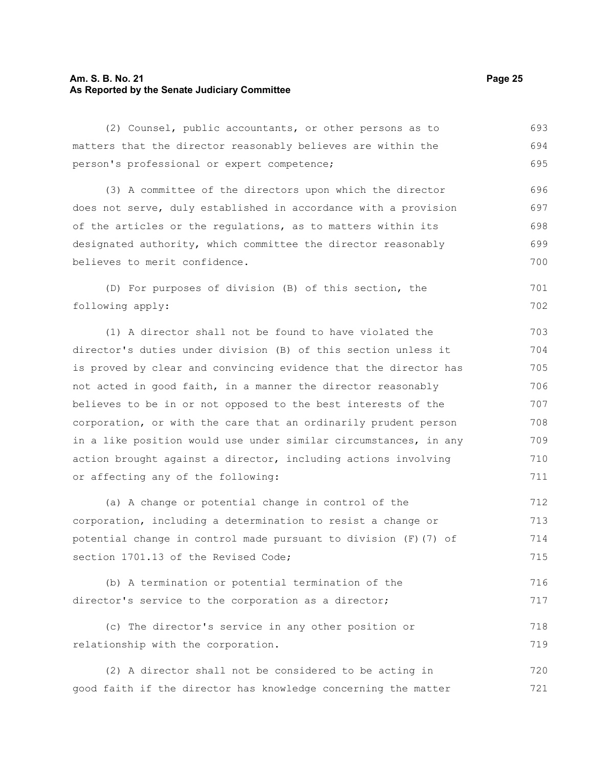#### **Am. S. B. No. 21 Page 25 As Reported by the Senate Judiciary Committee**

(2) Counsel, public accountants, or other persons as to matters that the director reasonably believes are within the person's professional or expert competence; 693 694 695

(3) A committee of the directors upon which the director does not serve, duly established in accordance with a provision of the articles or the regulations, as to matters within its designated authority, which committee the director reasonably believes to merit confidence. 696 697 698 699 700

(D) For purposes of division (B) of this section, the following apply:

(1) A director shall not be found to have violated the director's duties under division (B) of this section unless it is proved by clear and convincing evidence that the director has not acted in good faith, in a manner the director reasonably believes to be in or not opposed to the best interests of the corporation, or with the care that an ordinarily prudent person in a like position would use under similar circumstances, in any action brought against a director, including actions involving or affecting any of the following:

(a) A change or potential change in control of the corporation, including a determination to resist a change or potential change in control made pursuant to division (F)(7) of section 1701.13 of the Revised Code; 712 713 714 715

(b) A termination or potential termination of the director's service to the corporation as a director; 716 717

(c) The director's service in any other position or relationship with the corporation. 718 719

(2) A director shall not be considered to be acting in good faith if the director has knowledge concerning the matter 720 721

701 702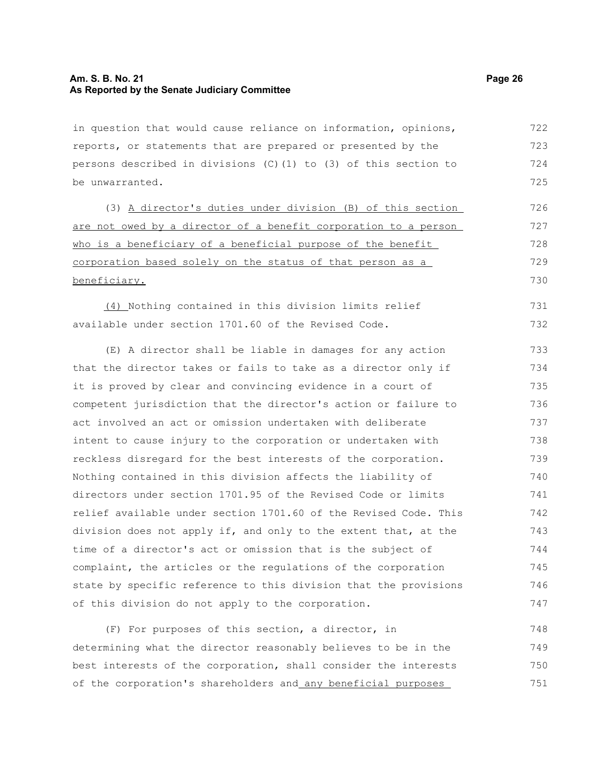#### **Am. S. B. No. 21 Page 26 As Reported by the Senate Judiciary Committee**

in question that would cause reliance on information, opinions, reports, or statements that are prepared or presented by the persons described in divisions  $(C)$  (1) to (3) of this section to be unwarranted. 722 723 724 725

(3) A director's duties under division (B) of this section are not owed by a director of a benefit corporation to a person who is a beneficiary of a beneficial purpose of the benefit corporation based solely on the status of that person as a beneficiary. 726 727 728 729 730

(4) Nothing contained in this division limits relief available under section 1701.60 of the Revised Code. 731 732

(E) A director shall be liable in damages for any action that the director takes or fails to take as a director only if it is proved by clear and convincing evidence in a court of competent jurisdiction that the director's action or failure to act involved an act or omission undertaken with deliberate intent to cause injury to the corporation or undertaken with reckless disregard for the best interests of the corporation. Nothing contained in this division affects the liability of directors under section 1701.95 of the Revised Code or limits relief available under section 1701.60 of the Revised Code. This division does not apply if, and only to the extent that, at the time of a director's act or omission that is the subject of complaint, the articles or the regulations of the corporation state by specific reference to this division that the provisions of this division do not apply to the corporation. 733 734 735 736 737 738 739 740 741 742 743 744 745 746 747

(F) For purposes of this section, a director, in determining what the director reasonably believes to be in the best interests of the corporation, shall consider the interests of the corporation's shareholders and any beneficial purposes 748 749 750 751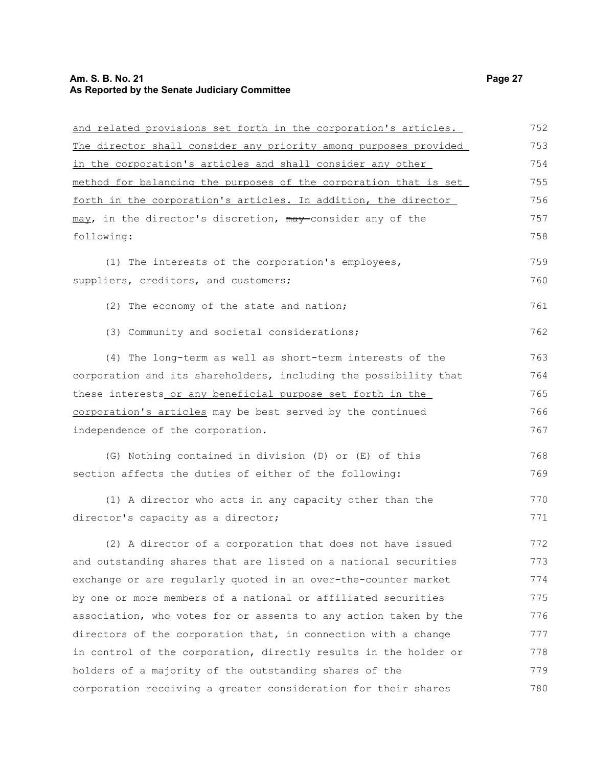## **Am. S. B. No. 21 Page 27 As Reported by the Senate Judiciary Committee**

| and related provisions set forth in the corporation's articles.  | 752 |
|------------------------------------------------------------------|-----|
| The director shall consider any priority among purposes provided | 753 |
| in the corporation's articles and shall consider any other       | 754 |
| method for balancing the purposes of the corporation that is set | 755 |
| forth in the corporation's articles. In addition, the director   | 756 |
| may, in the director's discretion, may consider any of the       | 757 |
| following:                                                       | 758 |
| (1) The interests of the corporation's employees,                | 759 |
| suppliers, creditors, and customers;                             | 760 |
| (2) The economy of the state and nation;                         | 761 |
| (3) Community and societal considerations;                       | 762 |
| (4) The long-term as well as short-term interests of the         | 763 |
| corporation and its shareholders, including the possibility that | 764 |
| these interests or any beneficial purpose set forth in the       | 765 |
| corporation's articles may be best served by the continued       | 766 |
| independence of the corporation.                                 | 767 |
| (G) Nothing contained in division (D) or (E) of this             | 768 |
| section affects the duties of either of the following:           | 769 |
| (1) A director who acts in any capacity other than the           | 770 |
| director's capacity as a director;                               | 771 |
| (2) A director of a corporation that does not have issued        | 772 |
| and outstanding shares that are listed on a national securities  | 773 |
| exchange or are regularly quoted in an over-the-counter market   | 774 |
| by one or more members of a national or affiliated securities    | 775 |
| association, who votes for or assents to any action taken by the | 776 |
| directors of the corporation that, in connection with a change   | 777 |
| in control of the corporation, directly results in the holder or | 778 |
| holders of a majority of the outstanding shares of the           | 779 |
| corporation receiving a greater consideration for their shares   | 780 |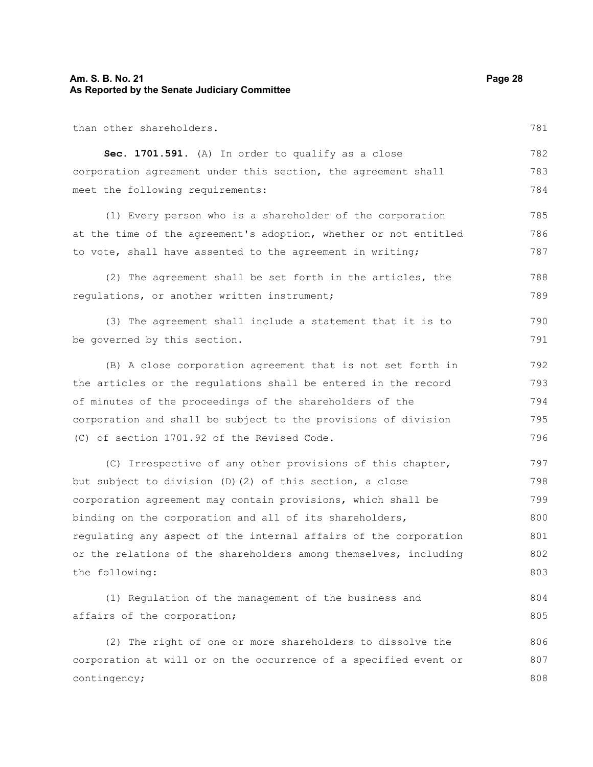#### **Am. S. B. No. 21 Page 28 As Reported by the Senate Judiciary Committee**

than other shareholders. **Sec. 1701.591.** (A) In order to qualify as a close corporation agreement under this section, the agreement shall meet the following requirements: (1) Every person who is a shareholder of the corporation at the time of the agreement's adoption, whether or not entitled to vote, shall have assented to the agreement in writing; (2) The agreement shall be set forth in the articles, the regulations, or another written instrument; (3) The agreement shall include a statement that it is to be governed by this section. (B) A close corporation agreement that is not set forth in the articles or the regulations shall be entered in the record of minutes of the proceedings of the shareholders of the corporation and shall be subject to the provisions of division (C) of section 1701.92 of the Revised Code. (C) Irrespective of any other provisions of this chapter, but subject to division (D)(2) of this section, a close corporation agreement may contain provisions, which shall be binding on the corporation and all of its shareholders, 782 783 784 785 786 787 788 789 790 791 792 793 794 795 796 797 798 799 800

regulating any aspect of the internal affairs of the corporation or the relations of the shareholders among themselves, including the following: 801 802 803

(1) Regulation of the management of the business and affairs of the corporation; 804 805

(2) The right of one or more shareholders to dissolve the corporation at will or on the occurrence of a specified event or contingency; 806 807 808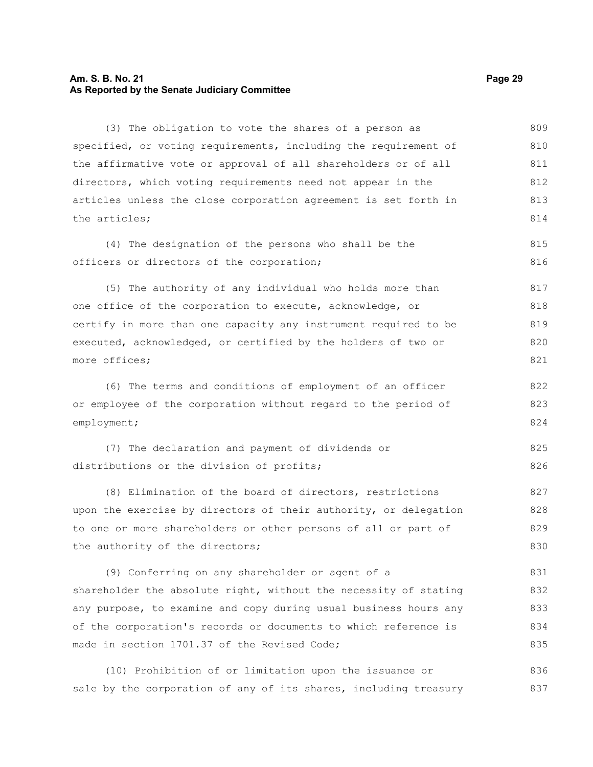#### **Am. S. B. No. 21 Page 29 As Reported by the Senate Judiciary Committee**

(3) The obligation to vote the shares of a person as specified, or voting requirements, including the requirement of the affirmative vote or approval of all shareholders or of all directors, which voting requirements need not appear in the articles unless the close corporation agreement is set forth in the articles; (4) The designation of the persons who shall be the officers or directors of the corporation; (5) The authority of any individual who holds more than one office of the corporation to execute, acknowledge, or certify in more than one capacity any instrument required to be executed, acknowledged, or certified by the holders of two or more offices; (6) The terms and conditions of employment of an officer or employee of the corporation without regard to the period of employment; (7) The declaration and payment of dividends or distributions or the division of profits; (8) Elimination of the board of directors, restrictions upon the exercise by directors of their authority, or delegation to one or more shareholders or other persons of all or part of the authority of the directors; (9) Conferring on any shareholder or agent of a shareholder the absolute right, without the necessity of stating any purpose, to examine and copy during usual business hours any of the corporation's records or documents to which reference is made in section 1701.37 of the Revised Code; 809 810 811 812 813 814 815 816 817 818 819 820 821 822 823 824 825 826 827 828 829 830 831 832 833 834 835

(10) Prohibition of or limitation upon the issuance or sale by the corporation of any of its shares, including treasury 836 837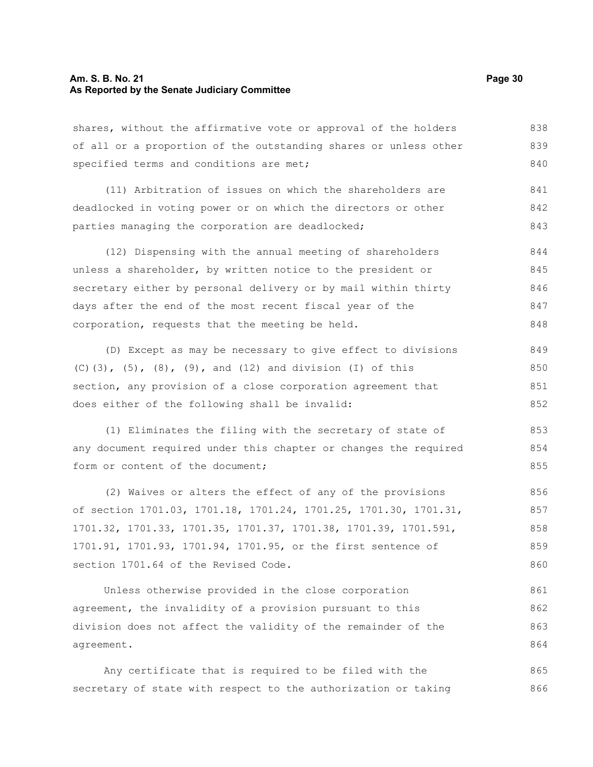#### **Am. S. B. No. 21 Page 30 As Reported by the Senate Judiciary Committee**

shares, without the affirmative vote or approval of the holders of all or a proportion of the outstanding shares or unless other specified terms and conditions are met; 838 839 840

(11) Arbitration of issues on which the shareholders are deadlocked in voting power or on which the directors or other parties managing the corporation are deadlocked; 841 842 843

(12) Dispensing with the annual meeting of shareholders unless a shareholder, by written notice to the president or secretary either by personal delivery or by mail within thirty days after the end of the most recent fiscal year of the corporation, requests that the meeting be held. 844 845 846 847 848

(D) Except as may be necessary to give effect to divisions (C)(3),  $(5)$ ,  $(8)$ ,  $(9)$ , and  $(12)$  and division  $(I)$  of this section, any provision of a close corporation agreement that does either of the following shall be invalid: 849 850 851 852

(1) Eliminates the filing with the secretary of state of any document required under this chapter or changes the required form or content of the document:

(2) Waives or alters the effect of any of the provisions of section 1701.03, 1701.18, 1701.24, 1701.25, 1701.30, 1701.31, 1701.32, 1701.33, 1701.35, 1701.37, 1701.38, 1701.39, 1701.591, 1701.91, 1701.93, 1701.94, 1701.95, or the first sentence of section 1701.64 of the Revised Code. 856 857 858 859 860

Unless otherwise provided in the close corporation agreement, the invalidity of a provision pursuant to this division does not affect the validity of the remainder of the agreement. 861 862 863 864

Any certificate that is required to be filed with the secretary of state with respect to the authorization or taking 865 866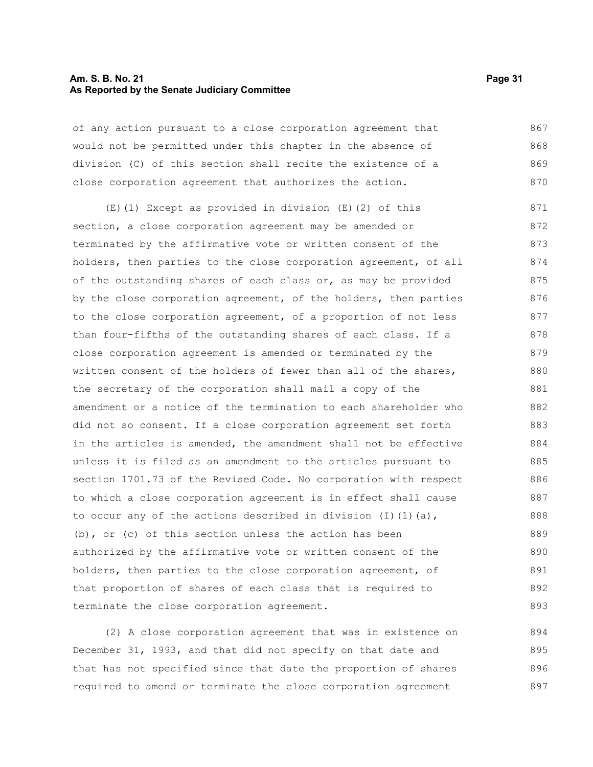#### **Am. S. B. No. 21 Page 31 As Reported by the Senate Judiciary Committee**

of any action pursuant to a close corporation agreement that would not be permitted under this chapter in the absence of division (C) of this section shall recite the existence of a close corporation agreement that authorizes the action. 867 868 869 870

(E)(1) Except as provided in division (E)(2) of this section, a close corporation agreement may be amended or terminated by the affirmative vote or written consent of the holders, then parties to the close corporation agreement, of all of the outstanding shares of each class or, as may be provided by the close corporation agreement, of the holders, then parties to the close corporation agreement, of a proportion of not less than four-fifths of the outstanding shares of each class. If a close corporation agreement is amended or terminated by the written consent of the holders of fewer than all of the shares, the secretary of the corporation shall mail a copy of the amendment or a notice of the termination to each shareholder who did not so consent. If a close corporation agreement set forth in the articles is amended, the amendment shall not be effective unless it is filed as an amendment to the articles pursuant to section 1701.73 of the Revised Code. No corporation with respect to which a close corporation agreement is in effect shall cause to occur any of the actions described in division  $(I)$   $(I)$   $(a)$ , (b), or (c) of this section unless the action has been authorized by the affirmative vote or written consent of the holders, then parties to the close corporation agreement, of that proportion of shares of each class that is required to terminate the close corporation agreement. 871 872 873 874 875 876 877 878 879 880 881 882 883 884 885 886 887 888 889 890 891 892 893

(2) A close corporation agreement that was in existence on December 31, 1993, and that did not specify on that date and that has not specified since that date the proportion of shares required to amend or terminate the close corporation agreement 894 895 896 897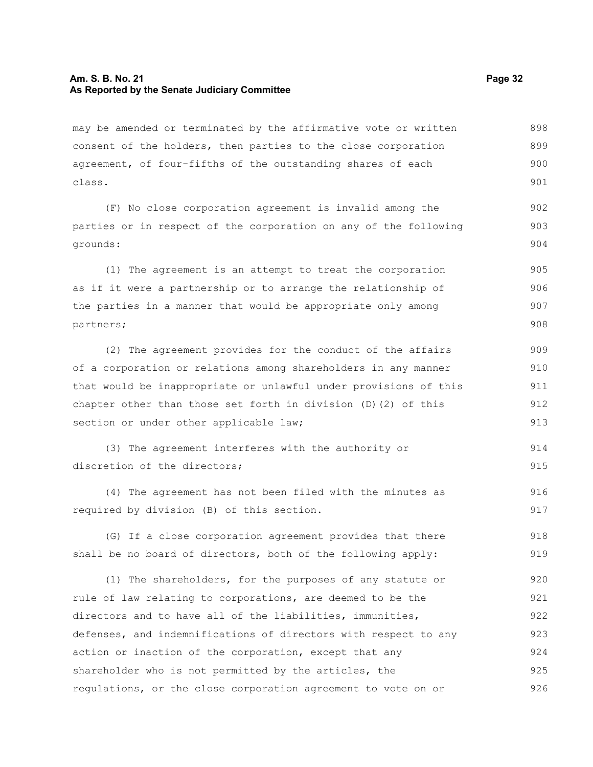may be amended or terminated by the affirmative vote or written consent of the holders, then parties to the close corporation agreement, of four-fifths of the outstanding shares of each class. 898 899 900 901

(F) No close corporation agreement is invalid among the parties or in respect of the corporation on any of the following grounds: 902 903

(1) The agreement is an attempt to treat the corporation as if it were a partnership or to arrange the relationship of the parties in a manner that would be appropriate only among partners; 905 906 907 908

(2) The agreement provides for the conduct of the affairs of a corporation or relations among shareholders in any manner that would be inappropriate or unlawful under provisions of this chapter other than those set forth in division (D)(2) of this section or under other applicable law; 909 910 911 912 913

```
(3) The agreement interferes with the authority or
discretion of the directors:
                                                                             914
                                                                             915
```
(4) The agreement has not been filed with the minutes as required by division (B) of this section. 916 917

(G) If a close corporation agreement provides that there shall be no board of directors, both of the following apply: 918 919

(1) The shareholders, for the purposes of any statute or rule of law relating to corporations, are deemed to be the directors and to have all of the liabilities, immunities, defenses, and indemnifications of directors with respect to any action or inaction of the corporation, except that any shareholder who is not permitted by the articles, the regulations, or the close corporation agreement to vote on or 920 921 922 923 924 925 926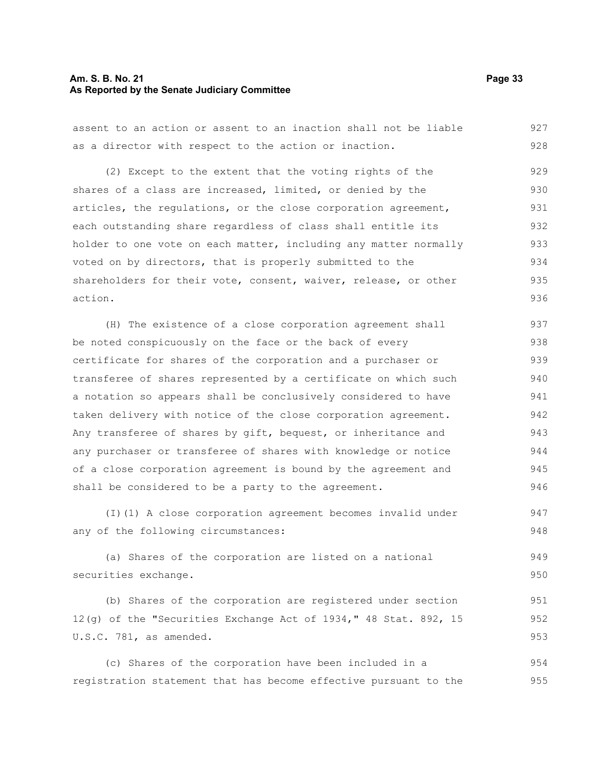#### **Am. S. B. No. 21 Page 33 As Reported by the Senate Judiciary Committee**

assent to an action or assent to an inaction shall not be liable as a director with respect to the action or inaction. 927 928

(2) Except to the extent that the voting rights of the shares of a class are increased, limited, or denied by the articles, the regulations, or the close corporation agreement, each outstanding share regardless of class shall entitle its holder to one vote on each matter, including any matter normally voted on by directors, that is properly submitted to the shareholders for their vote, consent, waiver, release, or other action. 929 930 931 932 933 934 935 936

(H) The existence of a close corporation agreement shall be noted conspicuously on the face or the back of every certificate for shares of the corporation and a purchaser or transferee of shares represented by a certificate on which such a notation so appears shall be conclusively considered to have taken delivery with notice of the close corporation agreement. Any transferee of shares by gift, bequest, or inheritance and any purchaser or transferee of shares with knowledge or notice of a close corporation agreement is bound by the agreement and shall be considered to be a party to the agreement. 937 938 939 940 941 942 943 944 945 946

(I)(1) A close corporation agreement becomes invalid under any of the following circumstances: 947 948

(a) Shares of the corporation are listed on a national securities exchange. 949 950

(b) Shares of the corporation are registered under section 12(g) of the "Securities Exchange Act of 1934," 48 Stat. 892, 15 U.S.C. 781, as amended. 951 952 953

(c) Shares of the corporation have been included in a registration statement that has become effective pursuant to the 954 955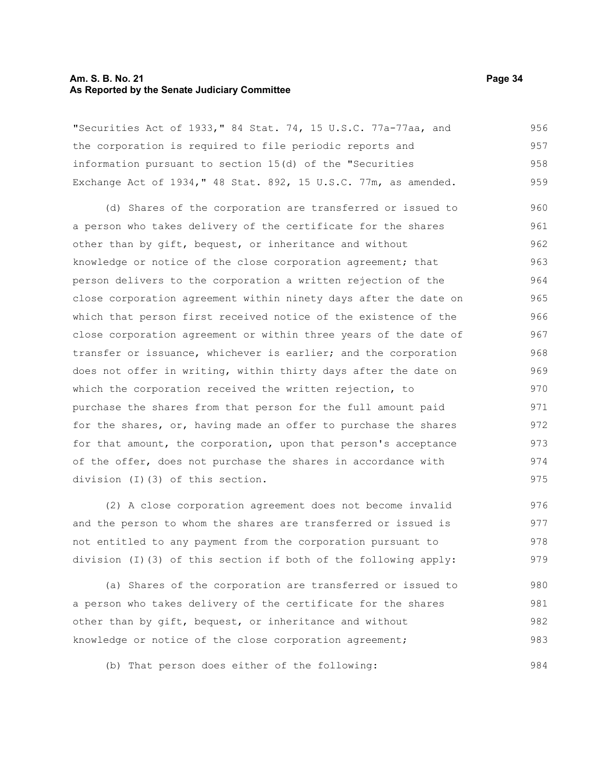#### **Am. S. B. No. 21 Page 34 As Reported by the Senate Judiciary Committee**

"Securities Act of 1933," 84 Stat. 74, 15 U.S.C. 77a-77aa, and the corporation is required to file periodic reports and information pursuant to section 15(d) of the "Securities Exchange Act of 1934," 48 Stat. 892, 15 U.S.C. 77m, as amended. 956 957 958 959

(d) Shares of the corporation are transferred or issued to a person who takes delivery of the certificate for the shares other than by gift, bequest, or inheritance and without knowledge or notice of the close corporation agreement; that person delivers to the corporation a written rejection of the close corporation agreement within ninety days after the date on which that person first received notice of the existence of the close corporation agreement or within three years of the date of transfer or issuance, whichever is earlier; and the corporation does not offer in writing, within thirty days after the date on which the corporation received the written rejection, to purchase the shares from that person for the full amount paid for the shares, or, having made an offer to purchase the shares for that amount, the corporation, upon that person's acceptance of the offer, does not purchase the shares in accordance with division (I)(3) of this section. 960 961 962 963 964 965 966 967 968 969 970 971 972 973 974 975

(2) A close corporation agreement does not become invalid and the person to whom the shares are transferred or issued is not entitled to any payment from the corporation pursuant to division (I)(3) of this section if both of the following apply: 976 977 978 979

(a) Shares of the corporation are transferred or issued to a person who takes delivery of the certificate for the shares other than by gift, bequest, or inheritance and without knowledge or notice of the close corporation agreement; 980 981 982 983

(b) That person does either of the following: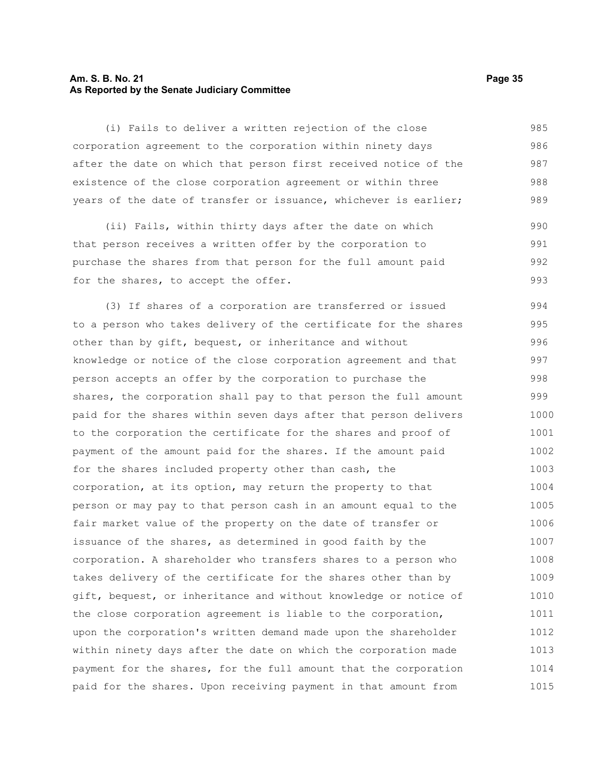#### **Am. S. B. No. 21 Page 35 As Reported by the Senate Judiciary Committee**

(i) Fails to deliver a written rejection of the close corporation agreement to the corporation within ninety days after the date on which that person first received notice of the existence of the close corporation agreement or within three years of the date of transfer or issuance, whichever is earlier; 985 986 987 988 989

(ii) Fails, within thirty days after the date on which that person receives a written offer by the corporation to purchase the shares from that person for the full amount paid for the shares, to accept the offer. 990 991 992 993

(3) If shares of a corporation are transferred or issued to a person who takes delivery of the certificate for the shares other than by gift, bequest, or inheritance and without knowledge or notice of the close corporation agreement and that person accepts an offer by the corporation to purchase the shares, the corporation shall pay to that person the full amount paid for the shares within seven days after that person delivers to the corporation the certificate for the shares and proof of payment of the amount paid for the shares. If the amount paid for the shares included property other than cash, the corporation, at its option, may return the property to that person or may pay to that person cash in an amount equal to the fair market value of the property on the date of transfer or issuance of the shares, as determined in good faith by the corporation. A shareholder who transfers shares to a person who takes delivery of the certificate for the shares other than by gift, bequest, or inheritance and without knowledge or notice of the close corporation agreement is liable to the corporation, upon the corporation's written demand made upon the shareholder within ninety days after the date on which the corporation made payment for the shares, for the full amount that the corporation paid for the shares. Upon receiving payment in that amount from 994 995 996 997 998 999 1000 1001 1002 1003 1004 1005 1006 1007 1008 1009 1010 1011 1012 1013 1014 1015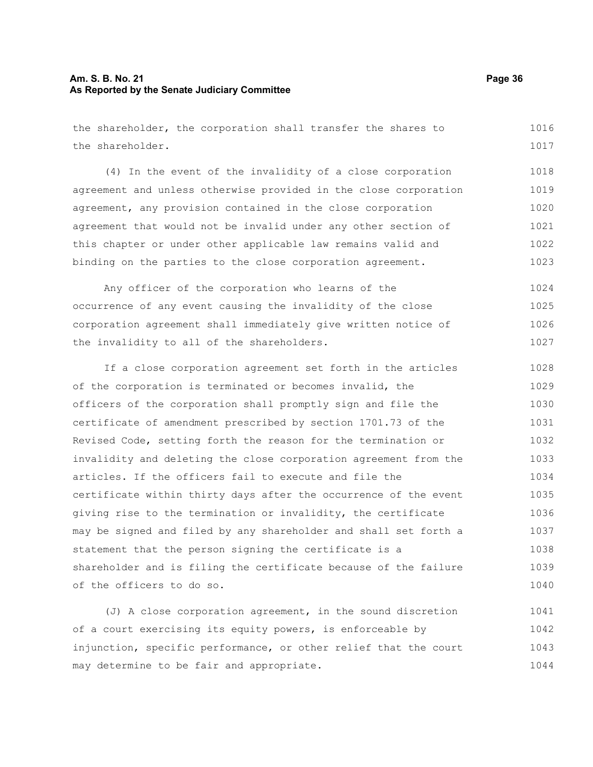#### **Am. S. B. No. 21 Page 36 As Reported by the Senate Judiciary Committee**

the shareholder, the corporation shall transfer the shares to the shareholder. 1016 1017

(4) In the event of the invalidity of a close corporation agreement and unless otherwise provided in the close corporation agreement, any provision contained in the close corporation agreement that would not be invalid under any other section of this chapter or under other applicable law remains valid and binding on the parties to the close corporation agreement. 1018 1019 1020 1021 1022 1023

Any officer of the corporation who learns of the occurrence of any event causing the invalidity of the close corporation agreement shall immediately give written notice of the invalidity to all of the shareholders. 1024 1025 1026 1027

If a close corporation agreement set forth in the articles of the corporation is terminated or becomes invalid, the officers of the corporation shall promptly sign and file the certificate of amendment prescribed by section 1701.73 of the Revised Code, setting forth the reason for the termination or invalidity and deleting the close corporation agreement from the articles. If the officers fail to execute and file the certificate within thirty days after the occurrence of the event giving rise to the termination or invalidity, the certificate may be signed and filed by any shareholder and shall set forth a statement that the person signing the certificate is a shareholder and is filing the certificate because of the failure of the officers to do so. 1028 1029 1030 1031 1032 1033 1034 1035 1036 1037 1038 1039 1040

(J) A close corporation agreement, in the sound discretion of a court exercising its equity powers, is enforceable by injunction, specific performance, or other relief that the court may determine to be fair and appropriate. 1041 1042 1043 1044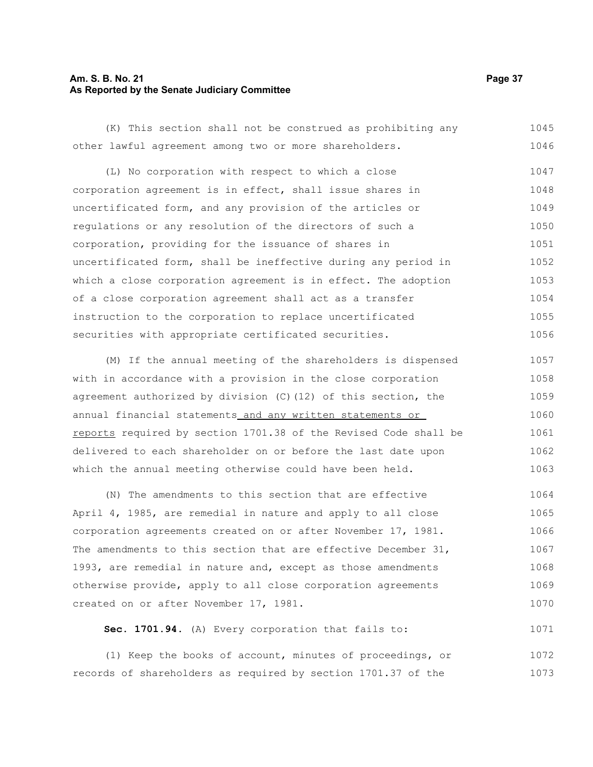#### **Am. S. B. No. 21 Page 37 As Reported by the Senate Judiciary Committee**

(K) This section shall not be construed as prohibiting any other lawful agreement among two or more shareholders. 1045 1046

(L) No corporation with respect to which a close corporation agreement is in effect, shall issue shares in uncertificated form, and any provision of the articles or regulations or any resolution of the directors of such a corporation, providing for the issuance of shares in uncertificated form, shall be ineffective during any period in which a close corporation agreement is in effect. The adoption of a close corporation agreement shall act as a transfer instruction to the corporation to replace uncertificated securities with appropriate certificated securities. 1047 1048 1049 1050 1051 1052 1053 1054 1055 1056

(M) If the annual meeting of the shareholders is dispensed with in accordance with a provision in the close corporation agreement authorized by division (C)(12) of this section, the annual financial statements and any written statements or reports required by section 1701.38 of the Revised Code shall be delivered to each shareholder on or before the last date upon which the annual meeting otherwise could have been held. 1057 1058 1059 1060 1061 1062 1063

(N) The amendments to this section that are effective April 4, 1985, are remedial in nature and apply to all close corporation agreements created on or after November 17, 1981. The amendments to this section that are effective December 31, 1993, are remedial in nature and, except as those amendments otherwise provide, apply to all close corporation agreements created on or after November 17, 1981. 1064 1065 1066 1067 1068 1069 1070

**Sec. 1701.94.** (A) Every corporation that fails to: 1071

(1) Keep the books of account, minutes of proceedings, or records of shareholders as required by section 1701.37 of the 1072 1073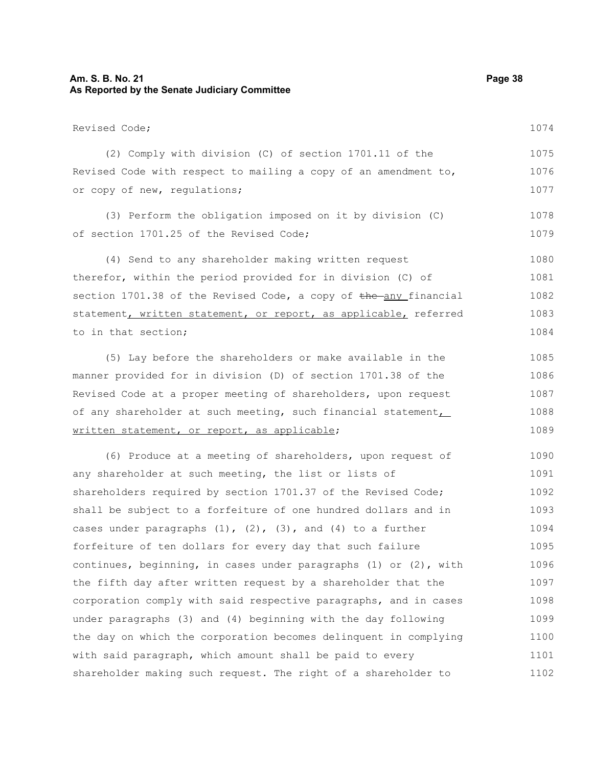#### **Am. S. B. No. 21 Page 38 As Reported by the Senate Judiciary Committee**

Revised Code; (2) Comply with division (C) of section 1701.11 of the Revised Code with respect to mailing a copy of an amendment to, or copy of new, regulations; (3) Perform the obligation imposed on it by division (C) of section 1701.25 of the Revised Code; (4) Send to any shareholder making written request therefor, within the period provided for in division (C) of section  $1701.38$  of the Revised Code, a copy of  $the$ -any financial statement, written statement, or report, as applicable, referred to in that section; (5) Lay before the shareholders or make available in the manner provided for in division (D) of section 1701.38 of the Revised Code at a proper meeting of shareholders, upon request of any shareholder at such meeting, such financial statement, written statement, or report, as applicable; (6) Produce at a meeting of shareholders, upon request of any shareholder at such meeting, the list or lists of shareholders required by section 1701.37 of the Revised Code; shall be subject to a forfeiture of one hundred dollars and in cases under paragraphs  $(1)$ ,  $(2)$ ,  $(3)$ , and  $(4)$  to a further forfeiture of ten dollars for every day that such failure continues, beginning, in cases under paragraphs (1) or (2), with the fifth day after written request by a shareholder that the corporation comply with said respective paragraphs, and in cases under paragraphs (3) and (4) beginning with the day following the day on which the corporation becomes delinquent in complying 1074 1075 1076 1077 1078 1079 1080 1081 1082 1083 1084 1085 1086 1087 1088 1089 1090 1091 1092 1093 1094 1095 1096 1097 1098 1099 1100

with said paragraph, which amount shall be paid to every

shareholder making such request. The right of a shareholder to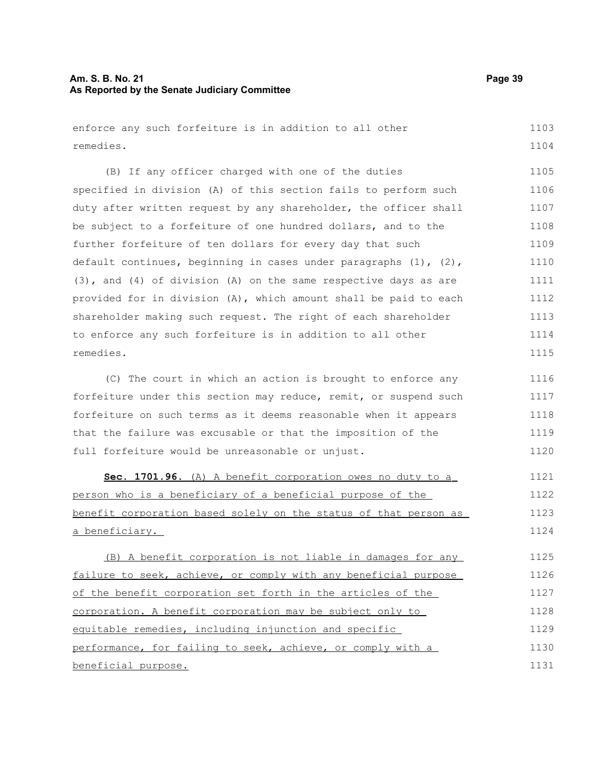#### **Am. S. B. No. 21 Page 39 As Reported by the Senate Judiciary Committee**

enforce any such forfeiture is in addition to all other remedies. 1103 1104

(B) If any officer charged with one of the duties specified in division (A) of this section fails to perform such duty after written request by any shareholder, the officer shall be subject to a forfeiture of one hundred dollars, and to the further forfeiture of ten dollars for every day that such default continues, beginning in cases under paragraphs (1), (2), (3), and (4) of division (A) on the same respective days as are provided for in division (A), which amount shall be paid to each shareholder making such request. The right of each shareholder to enforce any such forfeiture is in addition to all other remedies. 1105 1106 1107 1108 1109 1110 1111 1112 1113 1114 1115

(C) The court in which an action is brought to enforce any forfeiture under this section may reduce, remit, or suspend such forfeiture on such terms as it deems reasonable when it appears that the failure was excusable or that the imposition of the full forfeiture would be unreasonable or unjust. 1116 1117 1118 1119 1120

 **Sec. 1701.96.** (A) A benefit corporation owes no duty to a person who is a beneficiary of a beneficial purpose of the benefit corporation based solely on the status of that person as a beneficiary. 1121 1122 1123 1124

(B) A benefit corporation is not liable in damages for any failure to seek, achieve, or comply with any beneficial purpose of the benefit corporation set forth in the articles of the corporation. A benefit corporation may be subject only to equitable remedies, including injunction and specific performance, for failing to seek, achieve, or comply with a beneficial purpose. 1125 1126 1127 1128 1129 1130 1131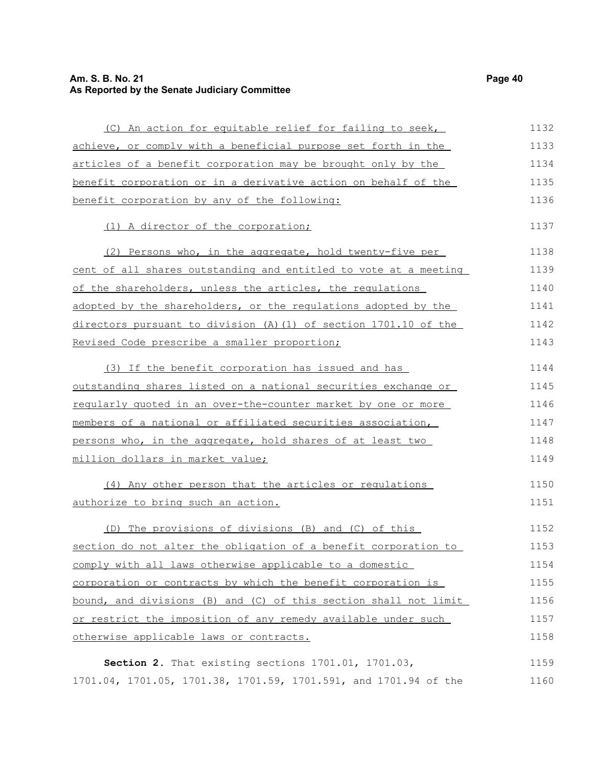## **Am. S. B. No. 21 Page 40 As Reported by the Senate Judiciary Committee**

| (C) An action for equitable relief for failing to seek,            | 1132 |
|--------------------------------------------------------------------|------|
| achieve, or comply with a beneficial purpose set forth in the      | 1133 |
| articles of a benefit corporation may be brought only by the       | 1134 |
| benefit corporation or in a derivative action on behalf of the     | 1135 |
| benefit corporation by any of the following:                       | 1136 |
| (1) A director of the corporation;                                 | 1137 |
| (2) Persons who, in the aggregate, hold twenty-five per            | 1138 |
| cent of all shares outstanding and entitled to vote at a meeting   | 1139 |
| of the shareholders, unless the articles, the requlations          | 1140 |
| adopted by the shareholders, or the regulations adopted by the     | 1141 |
| directors pursuant to division $(A)$ (1) of section 1701.10 of the | 1142 |
| Revised Code prescribe a smaller proportion;                       | 1143 |
| (3) If the benefit corporation has issued and has                  | 1144 |
| outstanding shares listed on a national securities exchange or     | 1145 |
| reqularly quoted in an over-the-counter market by one or more      | 1146 |
| members of a national or affiliated securities association,        | 1147 |
| persons who, in the aggregate, hold shares of at least two         | 1148 |
| million dollars in market value;                                   | 1149 |
| (4) Any other person that the articles or regulations              | 1150 |
| authorize to bring such an action.                                 | 1151 |
| (D) The provisions of divisions (B) and (C) of this                | 1152 |
| section do not alter the obligation of a benefit corporation to    | 1153 |
| comply with all laws otherwise applicable to a domestic            | 1154 |
| corporation or contracts by which the benefit corporation is       | 1155 |
| bound, and divisions (B) and (C) of this section shall not limit   | 1156 |
| or restrict the imposition of any remedy available under such      | 1157 |
| otherwise applicable laws or contracts.                            | 1158 |
| Section 2. That existing sections 1701.01, 1701.03,                | 1159 |
| 1701.04, 1701.05, 1701.38, 1701.59, 1701.591, and 1701.94 of the   | 1160 |